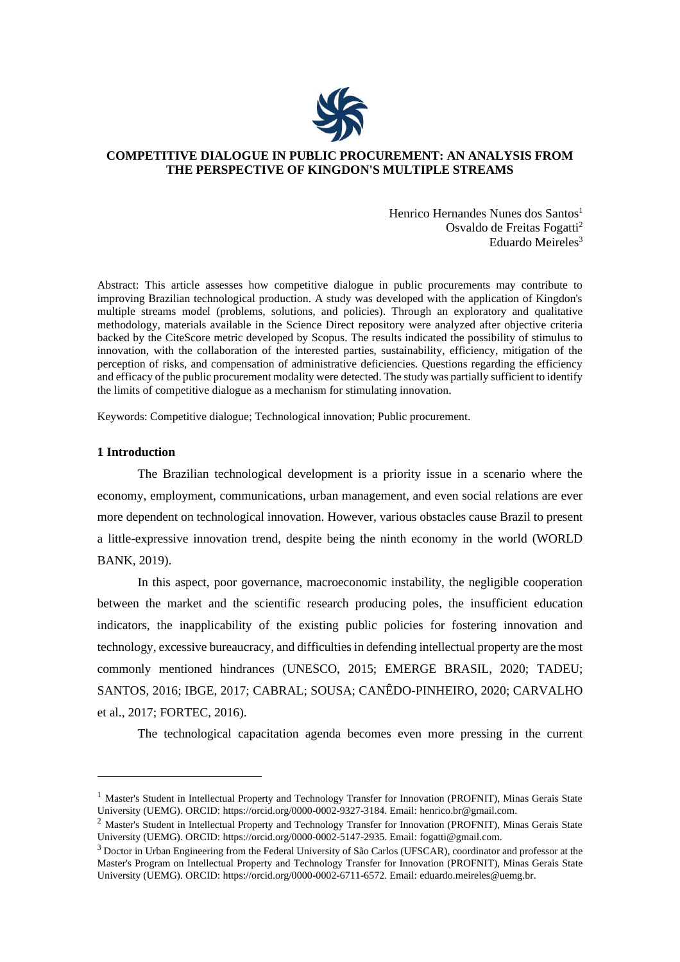

# **COMPETITIVE DIALOGUE IN PUBLIC PROCUREMENT: AN ANALYSIS FROM THE PERSPECTIVE OF KINGDON'S MULTIPLE STREAMS**

Henrico Hernandes Nunes dos Santos<sup>1</sup> Osvaldo de Freitas Fogatti<sup>2</sup> Eduardo Meireles $3$ 

Abstract: This article assesses how competitive dialogue in public procurements may contribute to improving Brazilian technological production. A study was developed with the application of Kingdon's multiple streams model (problems, solutions, and policies). Through an exploratory and qualitative methodology, materials available in the Science Direct repository were analyzed after objective criteria backed by the CiteScore metric developed by Scopus. The results indicated the possibility of stimulus to innovation, with the collaboration of the interested parties, sustainability, efficiency, mitigation of the perception of risks, and compensation of administrative deficiencies. Questions regarding the efficiency and efficacy of the public procurement modality were detected. The study was partially sufficient to identify the limits of competitive dialogue as a mechanism for stimulating innovation.

Keywords: Competitive dialogue; Technological innovation; Public procurement.

#### **1 Introduction**

The Brazilian technological development is a priority issue in a scenario where the economy, employment, communications, urban management, and even social relations are ever more dependent on technological innovation. However, various obstacles cause Brazil to present a little-expressive innovation trend, despite being the ninth economy in the world (WORLD BANK, 2019).

In this aspect, poor governance, macroeconomic instability, the negligible cooperation between the market and the scientific research producing poles, the insufficient education indicators, the inapplicability of the existing public policies for fostering innovation and technology, excessive bureaucracy, and difficulties in defending intellectual property are the most commonly mentioned hindrances (UNESCO, 2015; EMERGE BRASIL, 2020; TADEU; SANTOS, 2016; IBGE, 2017; CABRAL; SOUSA; CANÊDO-PINHEIRO, 2020; CARVALHO et al., 2017; FORTEC, 2016).

The technological capacitation agenda becomes even more pressing in the current

<sup>&</sup>lt;sup>1</sup> Master's Student in Intellectual Property and Technology Transfer for Innovation (PROFNIT), Minas Gerais State University (UEMG). ORCID: https://orcid.org/0000-0002-9327-3184. Email: [henrico.br@gmail.com.](mailto:henrico.br@gmail.com)

<sup>&</sup>lt;sup>2</sup> Master's Student in Intellectual Property and Technology Transfer for Innovation (PROFNIT), Minas Gerais State University (UEMG). ORCID: https://orcid.org/0000-0002-5147-2935. Email: [fogatti@gmail.com.](mailto:fogatti@gmail.com)

<sup>&</sup>lt;sup>3</sup> Doctor in Urban Engineering from the Federal University of São Carlos (UFSCAR), coordinator and professor at the Master's Program on Intellectual Property and Technology Transfer for Innovation (PROFNIT), Minas Gerais State University (UEMG). ORCID: https://orcid.org/0000-0002-6711-6572. Email: [eduardo.meireles@uemg.br.](mailto:eduardo.meireles@uemg.br)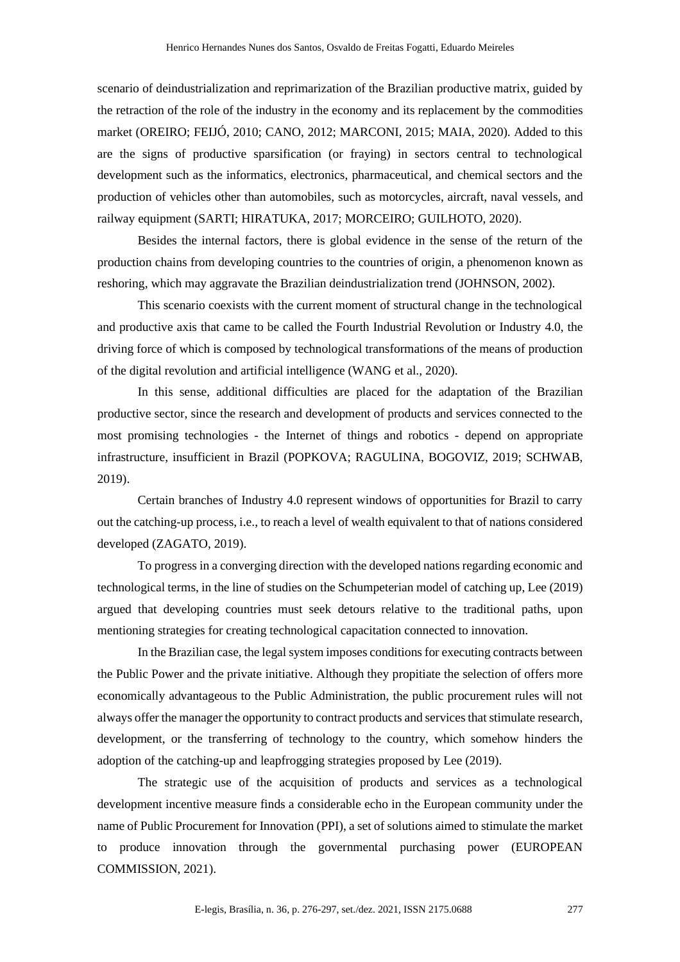scenario of deindustrialization and reprimarization of the Brazilian productive matrix, guided by the retraction of the role of the industry in the economy and its replacement by the commodities market (OREIRO; FEIJÓ, 2010; CANO, 2012; MARCONI, 2015; MAIA, 2020). Added to this are the signs of productive sparsification (or fraying) in sectors central to technological development such as the informatics, electronics, pharmaceutical, and chemical sectors and the production of vehicles other than automobiles, such as motorcycles, aircraft, naval vessels, and railway equipment (SARTI; HIRATUKA, 2017; MORCEIRO; GUILHOTO, 2020).

Besides the internal factors, there is global evidence in the sense of the return of the production chains from developing countries to the countries of origin, a phenomenon known as reshoring, which may aggravate the Brazilian deindustrialization trend (JOHNSON, 2002).

This scenario coexists with the current moment of structural change in the technological and productive axis that came to be called the Fourth Industrial Revolution or Industry 4.0, the driving force of which is composed by technological transformations of the means of production of the digital revolution and artificial intelligence (WANG et al., 2020).

In this sense, additional difficulties are placed for the adaptation of the Brazilian productive sector, since the research and development of products and services connected to the most promising technologies - the Internet of things and robotics - depend on appropriate infrastructure, insufficient in Brazil (POPKOVA; RAGULINA, BOGOVIZ, 2019; SCHWAB, 2019).

Certain branches of Industry 4.0 represent windows of opportunities for Brazil to carry out the catching-up process, i.e., to reach a level of wealth equivalent to that of nations considered developed (ZAGATO, 2019).

To progress in a converging direction with the developed nations regarding economic and technological terms, in the line of studies on the Schumpeterian model of catching up, Lee (2019) argued that developing countries must seek detours relative to the traditional paths, upon mentioning strategies for creating technological capacitation connected to innovation.

In the Brazilian case, the legal system imposes conditions for executing contracts between the Public Power and the private initiative. Although they propitiate the selection of offers more economically advantageous to the Public Administration, the public procurement rules will not always offer the manager the opportunity to contract products and services that stimulate research, development, or the transferring of technology to the country, which somehow hinders the adoption of the catching-up and leapfrogging strategies proposed by Lee (2019).

The strategic use of the acquisition of products and services as a technological development incentive measure finds a considerable echo in the European community under the name of Public Procurement for Innovation (PPI), a set of solutions aimed to stimulate the market to produce innovation through the governmental purchasing power (EUROPEAN COMMISSION, 2021).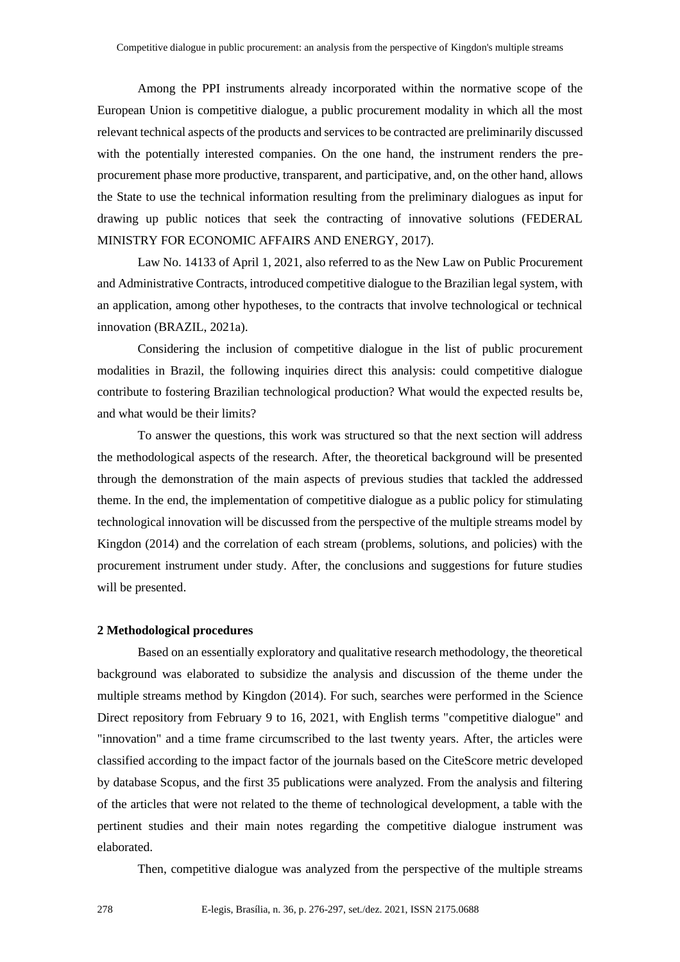Among the PPI instruments already incorporated within the normative scope of the European Union is competitive dialogue, a public procurement modality in which all the most relevant technical aspects of the products and services to be contracted are preliminarily discussed with the potentially interested companies. On the one hand, the instrument renders the preprocurement phase more productive, transparent, and participative, and, on the other hand, allows the State to use the technical information resulting from the preliminary dialogues as input for drawing up public notices that seek the contracting of innovative solutions (FEDERAL MINISTRY FOR ECONOMIC AFFAIRS AND ENERGY, 2017).

Law No. 14133 of April 1, 2021, also referred to as the New Law on Public Procurement and Administrative Contracts, introduced competitive dialogue to the Brazilian legal system, with an application, among other hypotheses, to the contracts that involve technological or technical innovation (BRAZIL, 2021a).

Considering the inclusion of competitive dialogue in the list of public procurement modalities in Brazil, the following inquiries direct this analysis: could competitive dialogue contribute to fostering Brazilian technological production? What would the expected results be, and what would be their limits?

To answer the questions, this work was structured so that the next section will address the methodological aspects of the research. After, the theoretical background will be presented through the demonstration of the main aspects of previous studies that tackled the addressed theme. In the end, the implementation of competitive dialogue as a public policy for stimulating technological innovation will be discussed from the perspective of the multiple streams model by Kingdon (2014) and the correlation of each stream (problems, solutions, and policies) with the procurement instrument under study. After, the conclusions and suggestions for future studies will be presented.

## **2 Methodological procedures**

Based on an essentially exploratory and qualitative research methodology, the theoretical background was elaborated to subsidize the analysis and discussion of the theme under the multiple streams method by Kingdon (2014). For such, searches were performed in the Science Direct repository from February 9 to 16, 2021, with English terms "competitive dialogue" and "innovation" and a time frame circumscribed to the last twenty years. After, the articles were classified according to the impact factor of the journals based on the CiteScore metric developed by database Scopus, and the first 35 publications were analyzed. From the analysis and filtering of the articles that were not related to the theme of technological development, a table with the pertinent studies and their main notes regarding the competitive dialogue instrument was elaborated.

Then, competitive dialogue was analyzed from the perspective of the multiple streams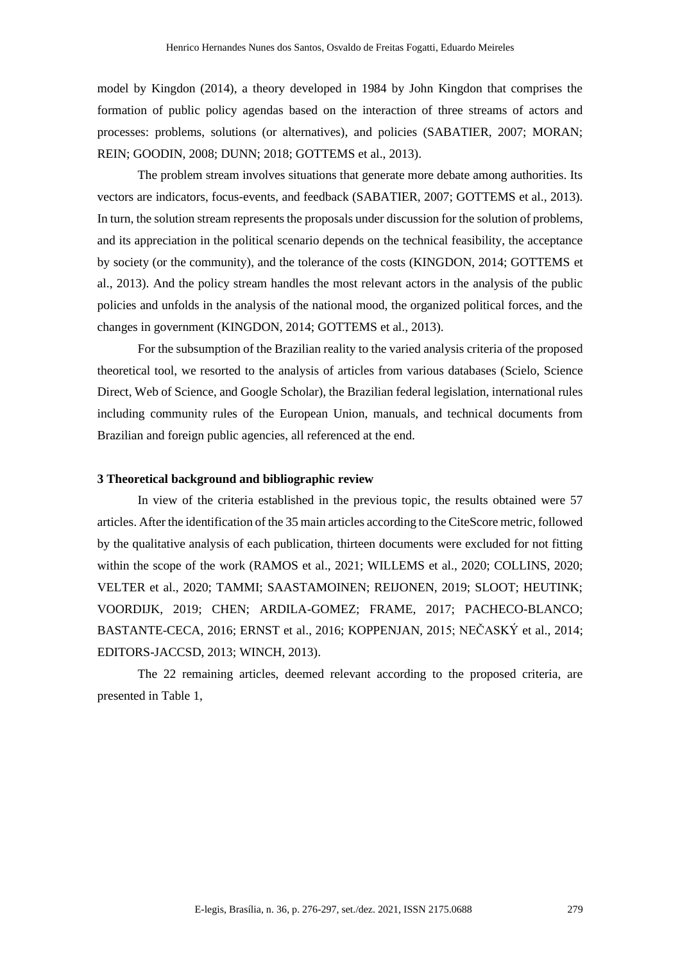model by Kingdon (2014), a theory developed in 1984 by John Kingdon that comprises the formation of public policy agendas based on the interaction of three streams of actors and processes: problems, solutions (or alternatives), and policies (SABATIER, 2007; MORAN; REIN; GOODIN, 2008; DUNN; 2018; GOTTEMS et al., 2013).

The problem stream involves situations that generate more debate among authorities. Its vectors are indicators, focus-events, and feedback (SABATIER, 2007; GOTTEMS et al., 2013). In turn, the solution stream represents the proposals under discussion for the solution of problems, and its appreciation in the political scenario depends on the technical feasibility, the acceptance by society (or the community), and the tolerance of the costs (KINGDON, 2014; GOTTEMS et al., 2013). And the policy stream handles the most relevant actors in the analysis of the public policies and unfolds in the analysis of the national mood, the organized political forces, and the changes in government (KINGDON, 2014; GOTTEMS et al., 2013).

For the subsumption of the Brazilian reality to the varied analysis criteria of the proposed theoretical tool, we resorted to the analysis of articles from various databases (Scielo, Science Direct, Web of Science, and Google Scholar), the Brazilian federal legislation, international rules including community rules of the European Union, manuals, and technical documents from Brazilian and foreign public agencies, all referenced at the end.

# **3 Theoretical background and bibliographic review**

In view of the criteria established in the previous topic, the results obtained were 57 articles. After the identification of the 35 main articles according to the CiteScore metric, followed by the qualitative analysis of each publication, thirteen documents were excluded for not fitting within the scope of the work (RAMOS et al., 2021; WILLEMS et al., 2020; COLLINS, 2020; VELTER et al., 2020; TAMMI; SAASTAMOINEN; REIJONEN, 2019; SLOOT; HEUTINK; VOORDIJK, 2019; CHEN; ARDILA-GOMEZ; FRAME, 2017; PACHECO-BLANCO; BASTANTE-CECA, 2016; ERNST et al., 2016; KOPPENJAN, 2015; NEČASKÝ et al., 2014; EDITORS-JACCSD, 2013; WINCH, 2013).

The 22 remaining articles, deemed relevant according to the proposed criteria, are presented in Table 1,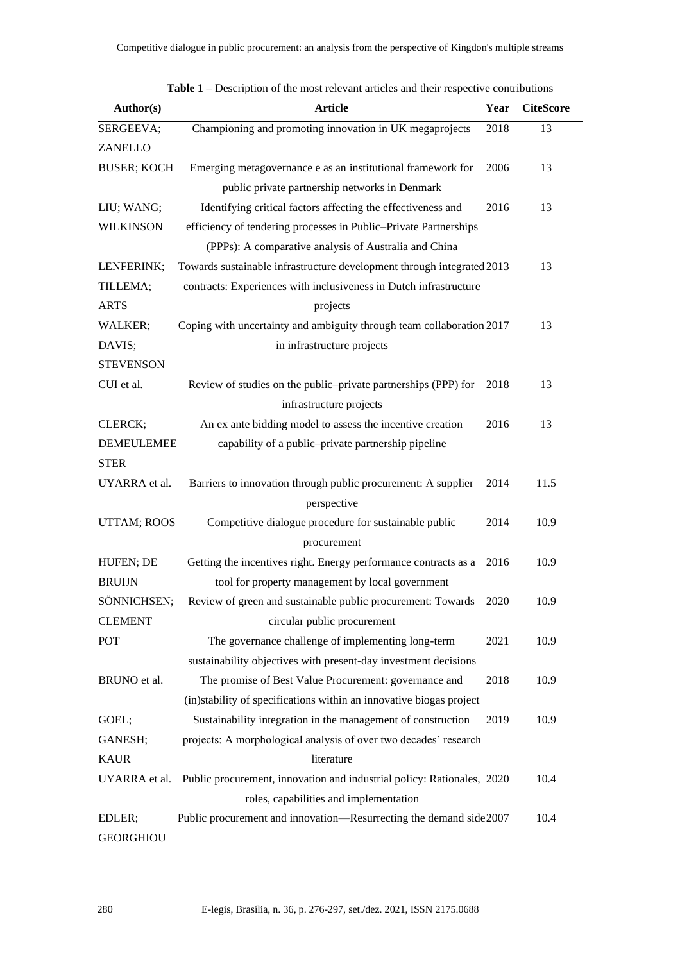| Author(s)          | <b>Article</b>                                                         | Year | <b>CiteScore</b> |
|--------------------|------------------------------------------------------------------------|------|------------------|
| SERGEEVA;          | Championing and promoting innovation in UK megaprojects                | 2018 | 13               |
| ZANELLO            |                                                                        |      |                  |
| <b>BUSER; KOCH</b> | Emerging metagovernance e as an institutional framework for            | 2006 | 13               |
|                    | public private partnership networks in Denmark                         |      |                  |
| LIU; WANG;         | Identifying critical factors affecting the effectiveness and           | 2016 | 13               |
| <b>WILKINSON</b>   | efficiency of tendering processes in Public-Private Partnerships       |      |                  |
|                    | (PPPs): A comparative analysis of Australia and China                  |      |                  |
| LENFERINK;         | Towards sustainable infrastructure development through integrated 2013 | 13   |                  |
| TILLEMA;           | contracts: Experiences with inclusiveness in Dutch infrastructure      |      |                  |
| <b>ARTS</b>        | projects                                                               |      |                  |
| WALKER;            | Coping with uncertainty and ambiguity through team collaboration 2017  |      | 13               |
| DAVIS;             | in infrastructure projects                                             |      |                  |
| <b>STEVENSON</b>   |                                                                        |      |                  |
| CUI et al.         | Review of studies on the public-private partnerships (PPP) for         | 2018 | 13               |
|                    | infrastructure projects                                                |      |                  |
| CLERCK;            | An ex ante bidding model to assess the incentive creation              | 2016 | 13               |
| <b>DEMEULEMEE</b>  | capability of a public-private partnership pipeline                    |      |                  |
| <b>STER</b>        |                                                                        |      |                  |
| UYARRA et al.      | Barriers to innovation through public procurement: A supplier          | 2014 | 11.5             |
|                    | perspective                                                            |      |                  |
| UTTAM; ROOS        | Competitive dialogue procedure for sustainable public                  | 2014 | 10.9             |
|                    | procurement                                                            |      |                  |
| HUFEN; DE          | Getting the incentives right. Energy performance contracts as a        | 2016 | 10.9             |
| <b>BRUIJN</b>      | tool for property management by local government                       |      |                  |
| SÖNNICHSEN;        | Review of green and sustainable public procurement: Towards            | 2020 | 10.9             |
| <b>CLEMENT</b>     | circular public procurement                                            |      |                  |
| POT                | The governance challenge of implementing long-term                     | 2021 | 10.9             |
|                    | sustainability objectives with present-day investment decisions        |      |                  |
| BRUNO et al.       | The promise of Best Value Procurement: governance and                  | 2018 | 10.9             |
|                    | (in)stability of specifications within an innovative biogas project    |      |                  |
| GOEL;              | Sustainability integration in the management of construction           | 2019 | 10.9             |
| GANESH;            | projects: A morphological analysis of over two decades' research       |      |                  |
| <b>KAUR</b>        | literature                                                             |      |                  |
| UYARRA et al.      | Public procurement, innovation and industrial policy: Rationales, 2020 |      | 10.4             |
|                    | roles, capabilities and implementation                                 |      |                  |
| EDLER;             | Public procurement and innovation—Resurrecting the demand side 2007    |      | 10.4             |
| <b>GEORGHIOU</b>   |                                                                        |      |                  |

**Table 1** – Description of the most relevant articles and their respective contributions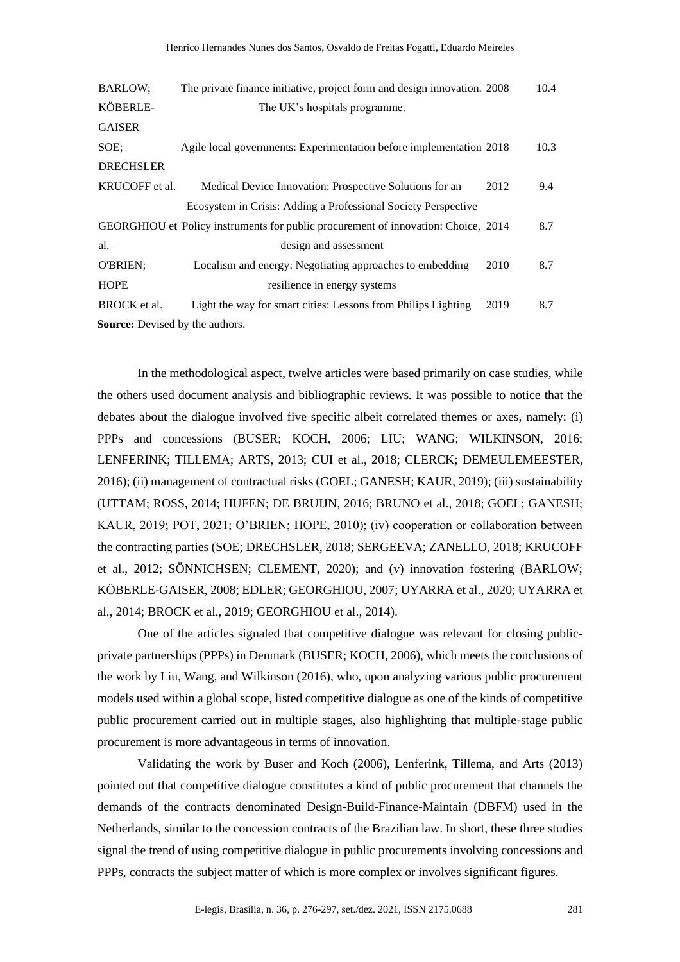| <b>BARLOW;</b>                         | The private finance initiative, project form and design innovation. 2008           |      | 10.4 |
|----------------------------------------|------------------------------------------------------------------------------------|------|------|
| KÖBERLE-                               | The UK's hospitals programme.                                                      |      |      |
| <b>GAISER</b>                          |                                                                                    |      |      |
| SOE:                                   | Agile local governments: Experimentation before implementation 2018                |      | 10.3 |
| <b>DRECHSLER</b>                       |                                                                                    |      |      |
| KRUCOFF et al.                         | Medical Device Innovation: Prospective Solutions for an                            | 2012 | 9.4  |
|                                        | Ecosystem in Crisis: Adding a Professional Society Perspective                     |      |      |
|                                        | GEORGHIOU et Policy instruments for public procurement of innovation: Choice, 2014 |      | 8.7  |
| al.                                    | design and assessment                                                              |      |      |
| O'BRIEN;                               | Localism and energy: Negotiating approaches to embedding                           | 2010 | 8.7  |
| <b>HOPE</b>                            | resilience in energy systems                                                       |      |      |
| BROCK et al.                           | Light the way for smart cities: Lessons from Philips Lighting                      | 2019 | 8.7  |
| <b>Source:</b> Devised by the authors. |                                                                                    |      |      |

In the methodological aspect, twelve articles were based primarily on case studies, while the others used document analysis and bibliographic reviews. It was possible to notice that the debates about the dialogue involved five specific albeit correlated themes or axes, namely: (i) PPPs and concessions (BUSER; KOCH, 2006; LIU; WANG; WILKINSON, 2016; LENFERINK; TILLEMA; ARTS, 2013; CUI et al., 2018; CLERCK; DEMEULEMEESTER, 2016); (ii) management of contractual risks (GOEL; GANESH; KAUR, 2019); (iii) sustainability (UTTAM; ROSS, 2014; HUFEN; DE BRUIJN, 2016; BRUNO et al., 2018; GOEL; GANESH; KAUR, 2019; POT, 2021; O'BRIEN; HOPE, 2010); (iv) cooperation or collaboration between the contracting parties (SOE; DRECHSLER, 2018; SERGEEVA; ZANELLO, 2018; KRUCOFF et al., 2012; SÖNNICHSEN; CLEMENT, 2020); and (v) innovation fostering (BARLOW; KÖBERLE-GAISER, 2008; EDLER; GEORGHIOU, 2007; UYARRA et al., 2020; UYARRA et al., 2014; BROCK et al., 2019; GEORGHIOU et al., 2014).

One of the articles signaled that competitive dialogue was relevant for closing publicprivate partnerships (PPPs) in Denmark (BUSER; KOCH, 2006), which meets the conclusions of the work by Liu, Wang, and Wilkinson (2016), who, upon analyzing various public procurement models used within a global scope, listed competitive dialogue as one of the kinds of competitive public procurement carried out in multiple stages, also highlighting that multiple-stage public procurement is more advantageous in terms of innovation.

Validating the work by Buser and Koch (2006), Lenferink, Tillema, and Arts (2013) pointed out that competitive dialogue constitutes a kind of public procurement that channels the demands of the contracts denominated Design-Build-Finance-Maintain (DBFM) used in the Netherlands, similar to the concession contracts of the Brazilian law. In short, these three studies signal the trend of using competitive dialogue in public procurements involving concessions and PPPs, contracts the subject matter of which is more complex or involves significant figures.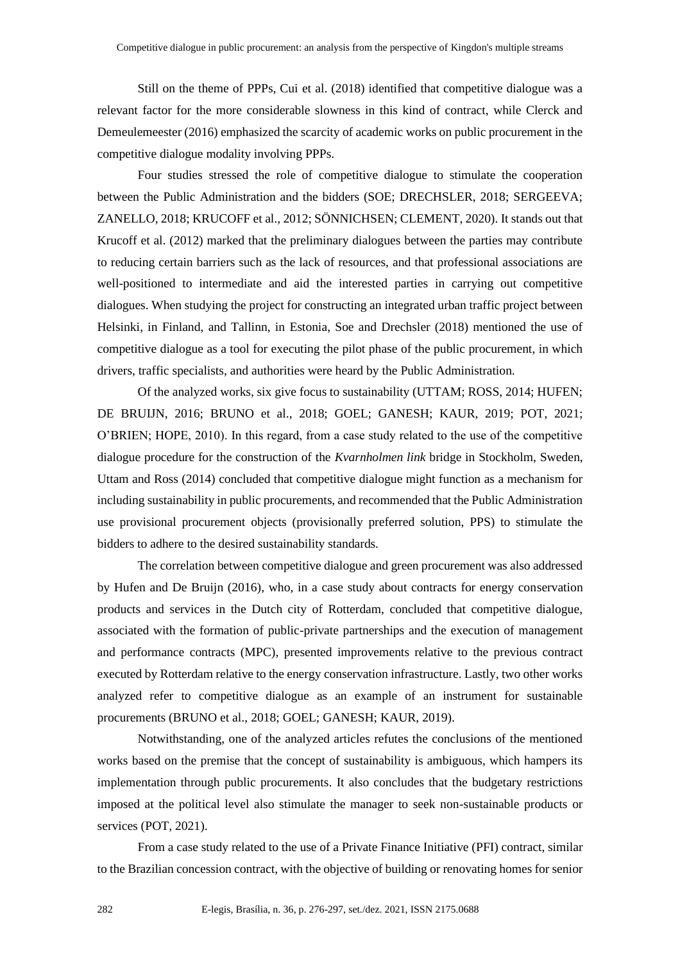Still on the theme of PPPs, Cui et al. (2018) identified that competitive dialogue was a relevant factor for the more considerable slowness in this kind of contract, while Clerck and Demeulemeester (2016) emphasized the scarcity of academic works on public procurement in the competitive dialogue modality involving PPPs.

Four studies stressed the role of competitive dialogue to stimulate the cooperation between the Public Administration and the bidders (SOE; DRECHSLER, 2018; SERGEEVA; ZANELLO, 2018; KRUCOFF et al., 2012; SÖNNICHSEN; CLEMENT, 2020). It stands out that Krucoff et al. (2012) marked that the preliminary dialogues between the parties may contribute to reducing certain barriers such as the lack of resources, and that professional associations are well-positioned to intermediate and aid the interested parties in carrying out competitive dialogues. When studying the project for constructing an integrated urban traffic project between Helsinki, in Finland, and Tallinn, in Estonia, Soe and Drechsler (2018) mentioned the use of competitive dialogue as a tool for executing the pilot phase of the public procurement, in which drivers, traffic specialists, and authorities were heard by the Public Administration.

Of the analyzed works, six give focus to sustainability (UTTAM; ROSS, 2014; HUFEN; DE BRUIJN, 2016; BRUNO et al., 2018; GOEL; GANESH; KAUR, 2019; POT, 2021; O'BRIEN; HOPE, 2010). In this regard, from a case study related to the use of the competitive dialogue procedure for the construction of the *Kvarnholmen link* bridge in Stockholm, Sweden, Uttam and Ross (2014) concluded that competitive dialogue might function as a mechanism for including sustainability in public procurements, and recommended that the Public Administration use provisional procurement objects (provisionally preferred solution, PPS) to stimulate the bidders to adhere to the desired sustainability standards.

The correlation between competitive dialogue and green procurement was also addressed by Hufen and De Bruijn (2016), who, in a case study about contracts for energy conservation products and services in the Dutch city of Rotterdam, concluded that competitive dialogue, associated with the formation of public-private partnerships and the execution of management and performance contracts (MPC), presented improvements relative to the previous contract executed by Rotterdam relative to the energy conservation infrastructure. Lastly, two other works analyzed refer to competitive dialogue as an example of an instrument for sustainable procurements (BRUNO et al., 2018; GOEL; GANESH; KAUR, 2019).

Notwithstanding, one of the analyzed articles refutes the conclusions of the mentioned works based on the premise that the concept of sustainability is ambiguous, which hampers its implementation through public procurements. It also concludes that the budgetary restrictions imposed at the political level also stimulate the manager to seek non-sustainable products or services (POT, 2021).

From a case study related to the use of a Private Finance Initiative (PFI) contract, similar to the Brazilian concession contract, with the objective of building or renovating homes for senior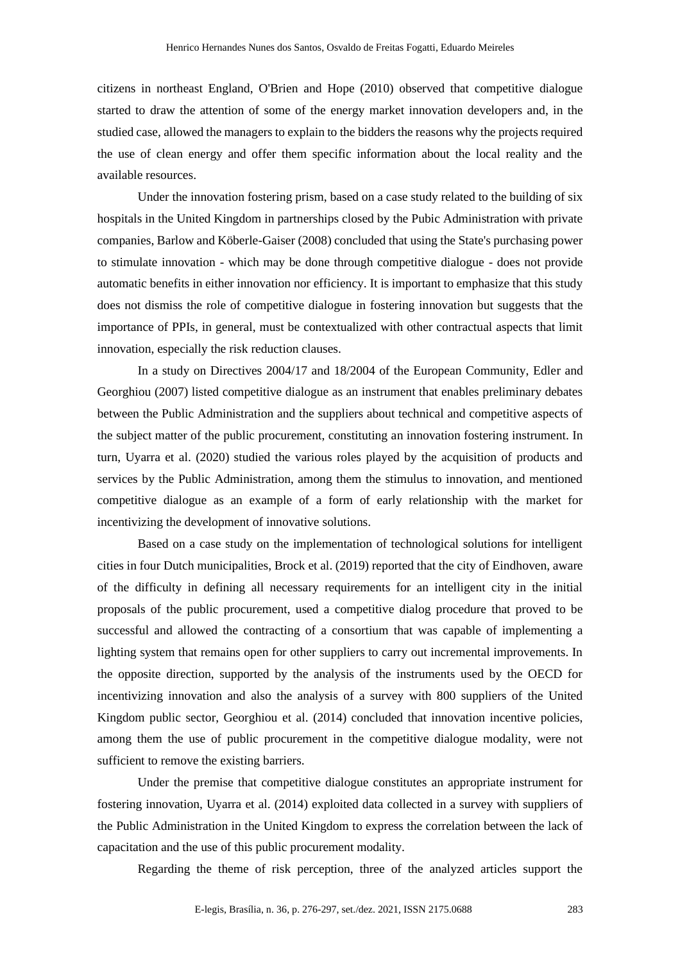citizens in northeast England, O'Brien and Hope (2010) observed that competitive dialogue started to draw the attention of some of the energy market innovation developers and, in the studied case, allowed the managers to explain to the bidders the reasons why the projects required the use of clean energy and offer them specific information about the local reality and the available resources.

Under the innovation fostering prism, based on a case study related to the building of six hospitals in the United Kingdom in partnerships closed by the Pubic Administration with private companies, Barlow and Köberle-Gaiser (2008) concluded that using the State's purchasing power to stimulate innovation - which may be done through competitive dialogue - does not provide automatic benefits in either innovation nor efficiency. It is important to emphasize that this study does not dismiss the role of competitive dialogue in fostering innovation but suggests that the importance of PPIs, in general, must be contextualized with other contractual aspects that limit innovation, especially the risk reduction clauses.

In a study on Directives 2004/17 and 18/2004 of the European Community, Edler and Georghiou (2007) listed competitive dialogue as an instrument that enables preliminary debates between the Public Administration and the suppliers about technical and competitive aspects of the subject matter of the public procurement, constituting an innovation fostering instrument. In turn, Uyarra et al. (2020) studied the various roles played by the acquisition of products and services by the Public Administration, among them the stimulus to innovation, and mentioned competitive dialogue as an example of a form of early relationship with the market for incentivizing the development of innovative solutions.

Based on a case study on the implementation of technological solutions for intelligent cities in four Dutch municipalities, Brock et al. (2019) reported that the city of Eindhoven, aware of the difficulty in defining all necessary requirements for an intelligent city in the initial proposals of the public procurement, used a competitive dialog procedure that proved to be successful and allowed the contracting of a consortium that was capable of implementing a lighting system that remains open for other suppliers to carry out incremental improvements. In the opposite direction, supported by the analysis of the instruments used by the OECD for incentivizing innovation and also the analysis of a survey with 800 suppliers of the United Kingdom public sector, Georghiou et al. (2014) concluded that innovation incentive policies, among them the use of public procurement in the competitive dialogue modality, were not sufficient to remove the existing barriers.

Under the premise that competitive dialogue constitutes an appropriate instrument for fostering innovation, Uyarra et al. (2014) exploited data collected in a survey with suppliers of the Public Administration in the United Kingdom to express the correlation between the lack of capacitation and the use of this public procurement modality.

Regarding the theme of risk perception, three of the analyzed articles support the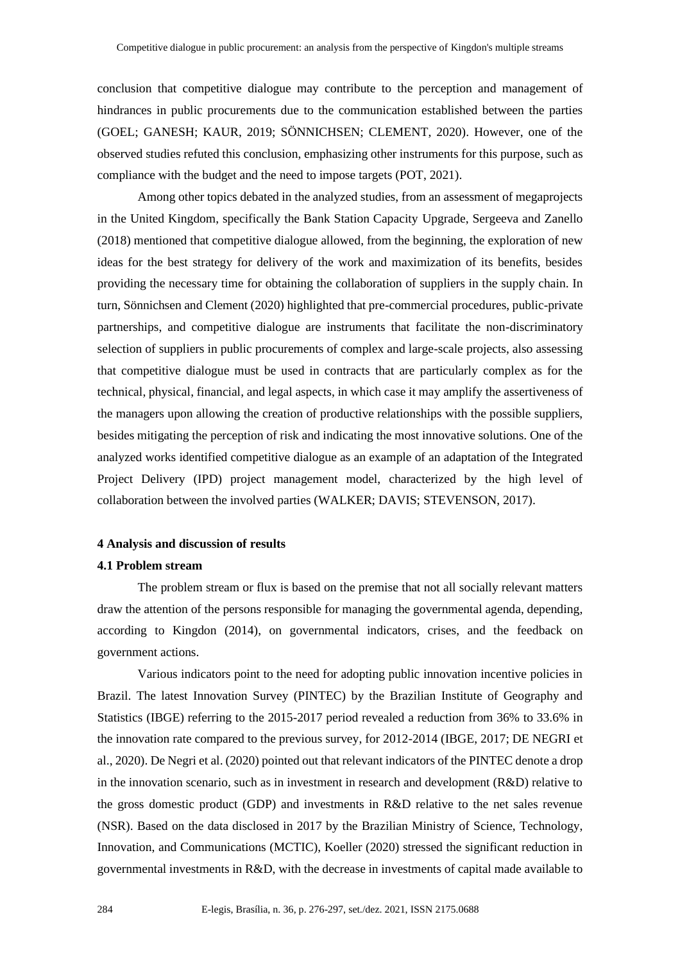conclusion that competitive dialogue may contribute to the perception and management of hindrances in public procurements due to the communication established between the parties (GOEL; GANESH; KAUR, 2019; SÖNNICHSEN; CLEMENT, 2020). However, one of the observed studies refuted this conclusion, emphasizing other instruments for this purpose, such as compliance with the budget and the need to impose targets (POT, 2021).

Among other topics debated in the analyzed studies, from an assessment of megaprojects in the United Kingdom, specifically the Bank Station Capacity Upgrade, Sergeeva and Zanello (2018) mentioned that competitive dialogue allowed, from the beginning, the exploration of new ideas for the best strategy for delivery of the work and maximization of its benefits, besides providing the necessary time for obtaining the collaboration of suppliers in the supply chain. In turn, Sönnichsen and Clement (2020) highlighted that pre-commercial procedures, public-private partnerships, and competitive dialogue are instruments that facilitate the non-discriminatory selection of suppliers in public procurements of complex and large-scale projects, also assessing that competitive dialogue must be used in contracts that are particularly complex as for the technical, physical, financial, and legal aspects, in which case it may amplify the assertiveness of the managers upon allowing the creation of productive relationships with the possible suppliers, besides mitigating the perception of risk and indicating the most innovative solutions. One of the analyzed works identified competitive dialogue as an example of an adaptation of the Integrated Project Delivery (IPD) project management model, characterized by the high level of collaboration between the involved parties (WALKER; DAVIS; STEVENSON, 2017).

### **4 Analysis and discussion of results**

### **4.1 Problem stream**

The problem stream or flux is based on the premise that not all socially relevant matters draw the attention of the persons responsible for managing the governmental agenda, depending, according to Kingdon (2014), on governmental indicators, crises, and the feedback on government actions.

Various indicators point to the need for adopting public innovation incentive policies in Brazil. The latest Innovation Survey (PINTEC) by the Brazilian Institute of Geography and Statistics (IBGE) referring to the 2015-2017 period revealed a reduction from 36% to 33.6% in the innovation rate compared to the previous survey, for 2012-2014 (IBGE, 2017; DE NEGRI et al., 2020). De Negri et al. (2020) pointed out that relevant indicators of the PINTEC denote a drop in the innovation scenario, such as in investment in research and development (R&D) relative to the gross domestic product (GDP) and investments in R&D relative to the net sales revenue (NSR). Based on the data disclosed in 2017 by the Brazilian Ministry of Science, Technology, Innovation, and Communications (MCTIC), Koeller (2020) stressed the significant reduction in governmental investments in R&D, with the decrease in investments of capital made available to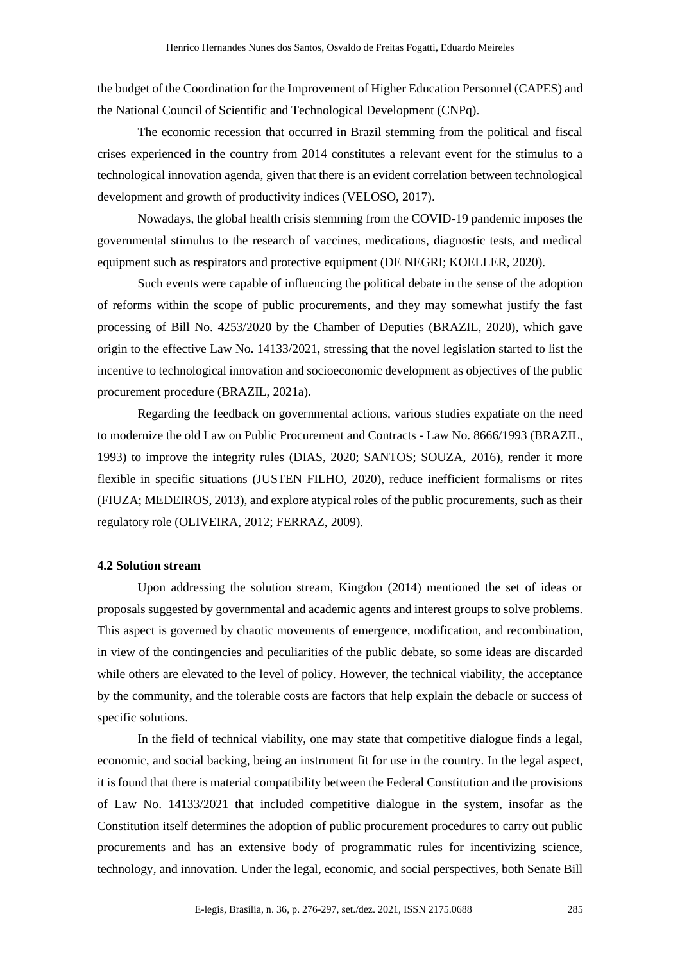the budget of the Coordination for the Improvement of Higher Education Personnel (CAPES) and the National Council of Scientific and Technological Development (CNPq).

The economic recession that occurred in Brazil stemming from the political and fiscal crises experienced in the country from 2014 constitutes a relevant event for the stimulus to a technological innovation agenda, given that there is an evident correlation between technological development and growth of productivity indices (VELOSO, 2017).

Nowadays, the global health crisis stemming from the COVID-19 pandemic imposes the governmental stimulus to the research of vaccines, medications, diagnostic tests, and medical equipment such as respirators and protective equipment (DE NEGRI; KOELLER, 2020).

Such events were capable of influencing the political debate in the sense of the adoption of reforms within the scope of public procurements, and they may somewhat justify the fast processing of Bill No. 4253/2020 by the Chamber of Deputies (BRAZIL, 2020), which gave origin to the effective Law No. 14133/2021, stressing that the novel legislation started to list the incentive to technological innovation and socioeconomic development as objectives of the public procurement procedure (BRAZIL, 2021a).

Regarding the feedback on governmental actions, various studies expatiate on the need to modernize the old Law on Public Procurement and Contracts - Law No. 8666/1993 (BRAZIL, 1993) to improve the integrity rules (DIAS, 2020; SANTOS; SOUZA, 2016), render it more flexible in specific situations (JUSTEN FILHO, 2020), reduce inefficient formalisms or rites (FIUZA; MEDEIROS, 2013), and explore atypical roles of the public procurements, such as their regulatory role (OLIVEIRA, 2012; FERRAZ, 2009).

### **4.2 Solution stream**

Upon addressing the solution stream, Kingdon (2014) mentioned the set of ideas or proposals suggested by governmental and academic agents and interest groups to solve problems. This aspect is governed by chaotic movements of emergence, modification, and recombination, in view of the contingencies and peculiarities of the public debate, so some ideas are discarded while others are elevated to the level of policy. However, the technical viability, the acceptance by the community, and the tolerable costs are factors that help explain the debacle or success of specific solutions.

In the field of technical viability, one may state that competitive dialogue finds a legal, economic, and social backing, being an instrument fit for use in the country. In the legal aspect, it is found that there is material compatibility between the Federal Constitution and the provisions of Law No. 14133/2021 that included competitive dialogue in the system, insofar as the Constitution itself determines the adoption of public procurement procedures to carry out public procurements and has an extensive body of programmatic rules for incentivizing science, technology, and innovation. Under the legal, economic, and social perspectives, both Senate Bill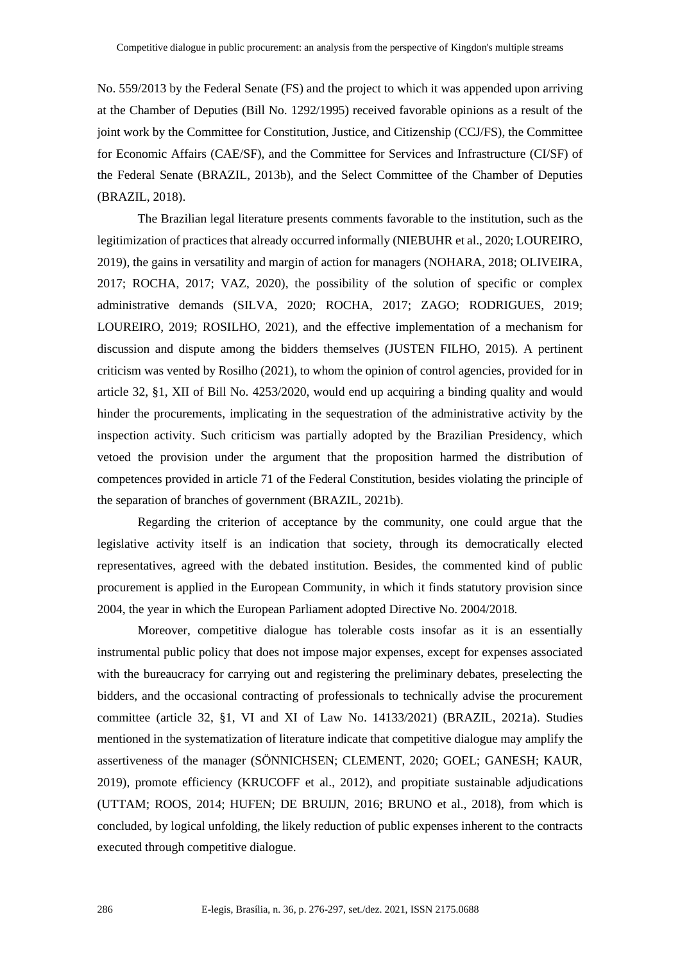No. 559/2013 by the Federal Senate (FS) and the project to which it was appended upon arriving at the Chamber of Deputies (Bill No. 1292/1995) received favorable opinions as a result of the joint work by the Committee for Constitution, Justice, and Citizenship (CCJ/FS), the Committee for Economic Affairs (CAE/SF), and the Committee for Services and Infrastructure (CI/SF) of the Federal Senate (BRAZIL, 2013b), and the Select Committee of the Chamber of Deputies (BRAZIL, 2018).

The Brazilian legal literature presents comments favorable to the institution, such as the legitimization of practices that already occurred informally (NIEBUHR et al., 2020; LOUREIRO, 2019), the gains in versatility and margin of action for managers (NOHARA, 2018; OLIVEIRA, 2017; ROCHA, 2017; VAZ, 2020), the possibility of the solution of specific or complex administrative demands (SILVA, 2020; ROCHA, 2017; ZAGO; RODRIGUES, 2019; LOUREIRO, 2019; ROSILHO, 2021), and the effective implementation of a mechanism for discussion and dispute among the bidders themselves (JUSTEN FILHO, 2015). A pertinent criticism was vented by Rosilho (2021), to whom the opinion of control agencies, provided for in article 32, §1, XII of Bill No. 4253/2020, would end up acquiring a binding quality and would hinder the procurements, implicating in the sequestration of the administrative activity by the inspection activity. Such criticism was partially adopted by the Brazilian Presidency, which vetoed the provision under the argument that the proposition harmed the distribution of competences provided in article 71 of the Federal Constitution, besides violating the principle of the separation of branches of government (BRAZIL, 2021b).

Regarding the criterion of acceptance by the community, one could argue that the legislative activity itself is an indication that society, through its democratically elected representatives, agreed with the debated institution. Besides, the commented kind of public procurement is applied in the European Community, in which it finds statutory provision since 2004, the year in which the European Parliament adopted Directive No. 2004/2018.

Moreover, competitive dialogue has tolerable costs insofar as it is an essentially instrumental public policy that does not impose major expenses, except for expenses associated with the bureaucracy for carrying out and registering the preliminary debates, preselecting the bidders, and the occasional contracting of professionals to technically advise the procurement committee (article 32, §1, VI and XI of Law No. 14133/2021) (BRAZIL, 2021a). Studies mentioned in the systematization of literature indicate that competitive dialogue may amplify the assertiveness of the manager (SÖNNICHSEN; CLEMENT, 2020; GOEL; GANESH; KAUR, 2019), promote efficiency (KRUCOFF et al., 2012), and propitiate sustainable adjudications (UTTAM; ROOS, 2014; HUFEN; DE BRUIJN, 2016; BRUNO et al., 2018), from which is concluded, by logical unfolding, the likely reduction of public expenses inherent to the contracts executed through competitive dialogue.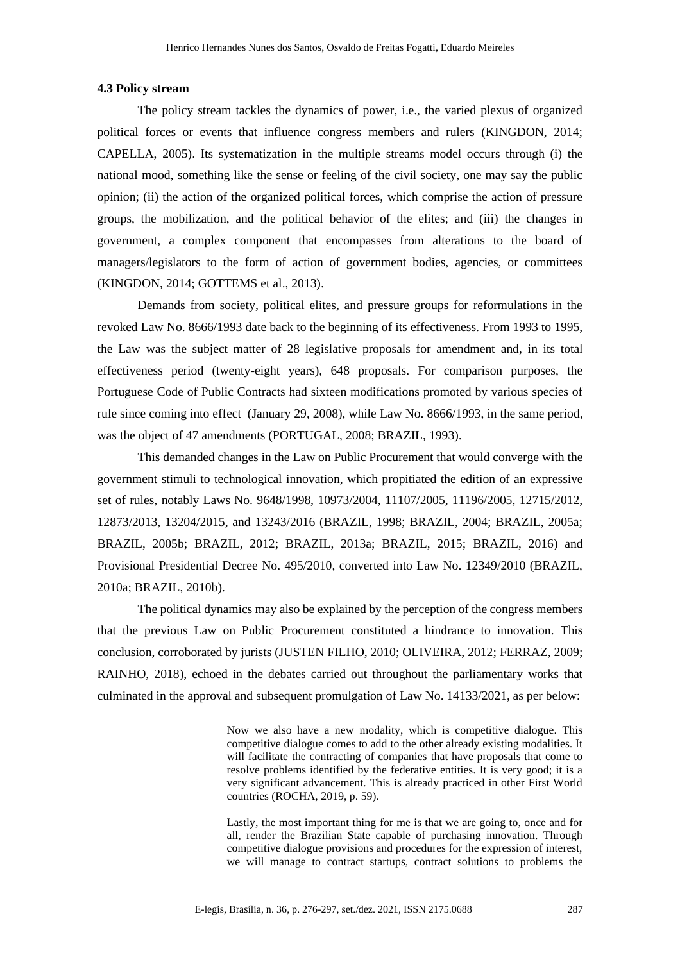#### **4.3 Policy stream**

The policy stream tackles the dynamics of power, i.e., the varied plexus of organized political forces or events that influence congress members and rulers (KINGDON, 2014; CAPELLA, 2005). Its systematization in the multiple streams model occurs through (i) the national mood, something like the sense or feeling of the civil society, one may say the public opinion; (ii) the action of the organized political forces, which comprise the action of pressure groups, the mobilization, and the political behavior of the elites; and (iii) the changes in government, a complex component that encompasses from alterations to the board of managers/legislators to the form of action of government bodies, agencies, or committees (KINGDON, 2014; GOTTEMS et al., 2013).

Demands from society, political elites, and pressure groups for reformulations in the revoked Law No. 8666/1993 date back to the beginning of its effectiveness. From 1993 to 1995, the Law was the subject matter of 28 legislative proposals for amendment and, in its total effectiveness period (twenty-eight years), 648 proposals. For comparison purposes, the Portuguese Code of Public Contracts had sixteen modifications promoted by various species of rule since coming into effect (January 29, 2008), while Law No. 8666/1993, in the same period, was the object of 47 amendments (PORTUGAL, 2008; BRAZIL, 1993).

This demanded changes in the Law on Public Procurement that would converge with the government stimuli to technological innovation, which propitiated the edition of an expressive set of rules, notably Laws No. 9648/1998, 10973/2004, 11107/2005, 11196/2005, 12715/2012, 12873/2013, 13204/2015, and 13243/2016 (BRAZIL, 1998; BRAZIL, 2004; BRAZIL, 2005a; BRAZIL, 2005b; BRAZIL, 2012; BRAZIL, 2013a; BRAZIL, 2015; BRAZIL, 2016) and Provisional Presidential Decree No. 495/2010, converted into Law No. 12349/2010 (BRAZIL, 2010a; BRAZIL, 2010b).

The political dynamics may also be explained by the perception of the congress members that the previous Law on Public Procurement constituted a hindrance to innovation. This conclusion, corroborated by jurists (JUSTEN FILHO, 2010; OLIVEIRA, 2012; FERRAZ, 2009; RAINHO, 2018), echoed in the debates carried out throughout the parliamentary works that culminated in the approval and subsequent promulgation of Law No. 14133/2021, as per below:

> Now we also have a new modality, which is competitive dialogue. This competitive dialogue comes to add to the other already existing modalities. It will facilitate the contracting of companies that have proposals that come to resolve problems identified by the federative entities. It is very good; it is a very significant advancement. This is already practiced in other First World countries (ROCHA, 2019, p. 59).

> Lastly, the most important thing for me is that we are going to, once and for all, render the Brazilian State capable of purchasing innovation. Through competitive dialogue provisions and procedures for the expression of interest, we will manage to contract startups, contract solutions to problems the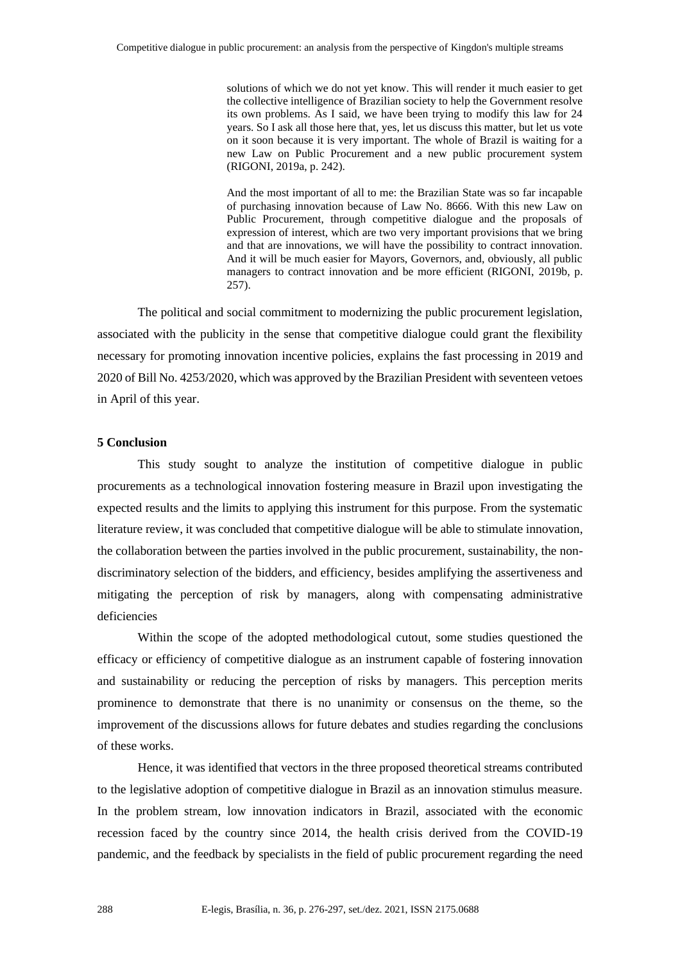solutions of which we do not yet know. This will render it much easier to get the collective intelligence of Brazilian society to help the Government resolve its own problems. As I said, we have been trying to modify this law for 24 years. So I ask all those here that, yes, let us discuss this matter, but let us vote on it soon because it is very important. The whole of Brazil is waiting for a new Law on Public Procurement and a new public procurement system (RIGONI, 2019a, p. 242).

And the most important of all to me: the Brazilian State was so far incapable of purchasing innovation because of Law No. 8666. With this new Law on Public Procurement, through competitive dialogue and the proposals of expression of interest, which are two very important provisions that we bring and that are innovations, we will have the possibility to contract innovation. And it will be much easier for Mayors, Governors, and, obviously, all public managers to contract innovation and be more efficient (RIGONI, 2019b, p. 257).

The political and social commitment to modernizing the public procurement legislation, associated with the publicity in the sense that competitive dialogue could grant the flexibility necessary for promoting innovation incentive policies, explains the fast processing in 2019 and 2020 of Bill No. 4253/2020, which was approved by the Brazilian President with seventeen vetoes in April of this year.

## **5 Conclusion**

This study sought to analyze the institution of competitive dialogue in public procurements as a technological innovation fostering measure in Brazil upon investigating the expected results and the limits to applying this instrument for this purpose. From the systematic literature review, it was concluded that competitive dialogue will be able to stimulate innovation, the collaboration between the parties involved in the public procurement, sustainability, the nondiscriminatory selection of the bidders, and efficiency, besides amplifying the assertiveness and mitigating the perception of risk by managers, along with compensating administrative deficiencies

Within the scope of the adopted methodological cutout, some studies questioned the efficacy or efficiency of competitive dialogue as an instrument capable of fostering innovation and sustainability or reducing the perception of risks by managers. This perception merits prominence to demonstrate that there is no unanimity or consensus on the theme, so the improvement of the discussions allows for future debates and studies regarding the conclusions of these works.

Hence, it was identified that vectors in the three proposed theoretical streams contributed to the legislative adoption of competitive dialogue in Brazil as an innovation stimulus measure. In the problem stream, low innovation indicators in Brazil, associated with the economic recession faced by the country since 2014, the health crisis derived from the COVID-19 pandemic, and the feedback by specialists in the field of public procurement regarding the need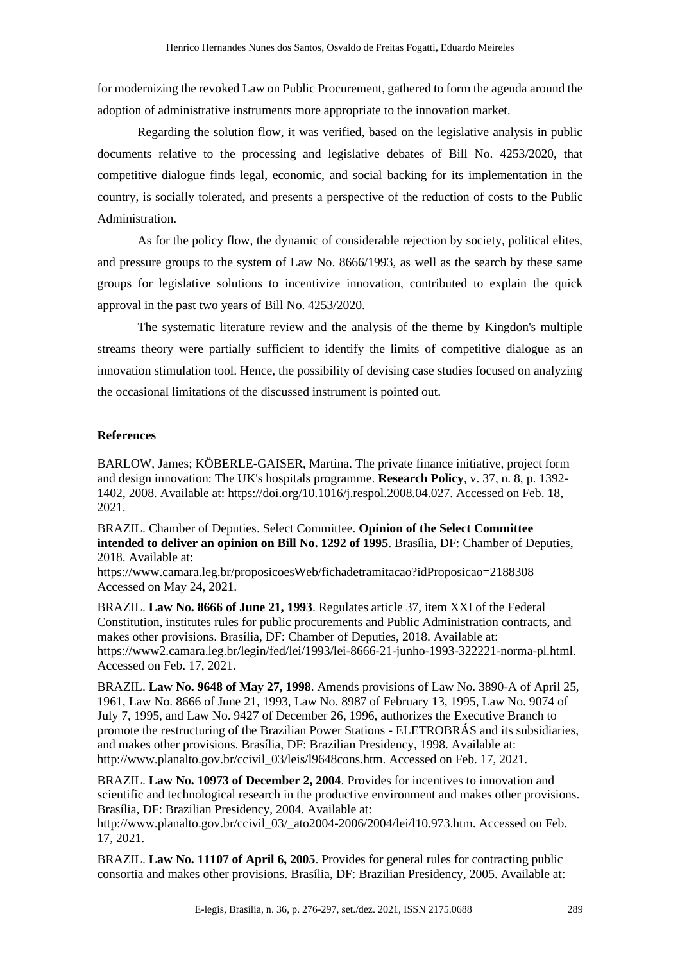for modernizing the revoked Law on Public Procurement, gathered to form the agenda around the adoption of administrative instruments more appropriate to the innovation market.

Regarding the solution flow, it was verified, based on the legislative analysis in public documents relative to the processing and legislative debates of Bill No. 4253/2020, that competitive dialogue finds legal, economic, and social backing for its implementation in the country, is socially tolerated, and presents a perspective of the reduction of costs to the Public Administration.

As for the policy flow, the dynamic of considerable rejection by society, political elites, and pressure groups to the system of Law No. 8666/1993, as well as the search by these same groups for legislative solutions to incentivize innovation, contributed to explain the quick approval in the past two years of Bill No. 4253/2020.

The systematic literature review and the analysis of the theme by Kingdon's multiple streams theory were partially sufficient to identify the limits of competitive dialogue as an innovation stimulation tool. Hence, the possibility of devising case studies focused on analyzing the occasional limitations of the discussed instrument is pointed out.

# **References**

BARLOW, James; KÖBERLE-GAISER, Martina. The private finance initiative, project form and design innovation: The UK's hospitals programme. **Research Policy**, v. 37, n. 8, p. 1392- 1402, 2008. Available at: https://doi.org/10.1016/j.respol.2008.04.027. Accessed on Feb. 18, 2021.

BRAZIL. Chamber of Deputies. Select Committee. **Opinion of the Select Committee intended to deliver an opinion on Bill No. 1292 of 1995**. Brasília, DF: Chamber of Deputies, 2018. Available at:

https://www.camara.leg.br/proposicoesWeb/fichadetramitacao?idProposicao=2188308 Accessed on May 24, 2021.

BRAZIL. **Law No. 8666 of June 21, 1993**. Regulates article 37, item XXI of the Federal Constitution, institutes rules for public procurements and Public Administration contracts, and makes other provisions. Brasília, DF: Chamber of Deputies, 2018. Available at: https://www2.camara.leg.br/legin/fed/lei/1993/lei-8666-21-junho-1993-322221-norma-pl.html. Accessed on Feb. 17, 2021.

BRAZIL. **Law No. 9648 of May 27, 1998**. Amends provisions of Law No. 3890-A of April 25, 1961, Law No. 8666 of June 21, 1993, Law No. 8987 of February 13, 1995, Law No. 9074 of July 7, 1995, and Law No. 9427 of December 26, 1996, authorizes the Executive Branch to promote the restructuring of the Brazilian Power Stations - ELETROBRÁS and its subsidiaries, and makes other provisions. Brasília, DF: Brazilian Presidency, 1998. Available at: http://www.planalto.gov.br/ccivil 03/leis/l9648cons.htm. Accessed on Feb. 17, 2021.

BRAZIL. **Law No. 10973 of December 2, 2004**. Provides for incentives to innovation and scientific and technological research in the productive environment and makes other provisions. Brasília, DF: Brazilian Presidency, 2004. Available at:

http://www.planalto.gov.br/ccivil 03/ ato2004-2006/2004/lei/l10.973.htm. Accessed on Feb. 17, 2021.

BRAZIL. **Law No. 11107 of April 6, 2005**. Provides for general rules for contracting public consortia and makes other provisions. Brasília, DF: Brazilian Presidency, 2005. Available at: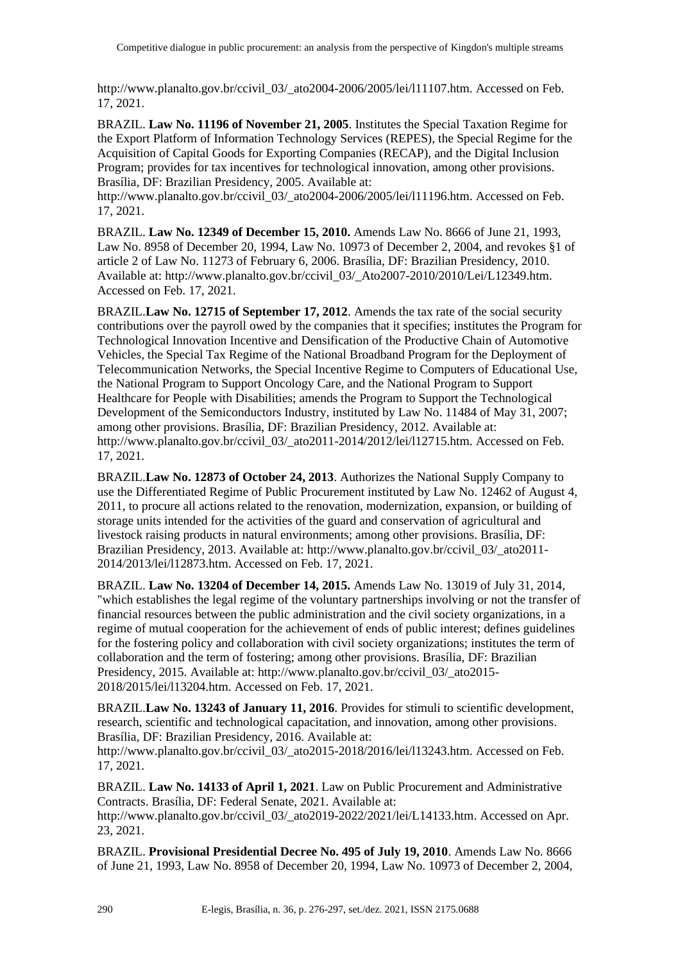http://www.planalto.gov.br/ccivil\_03/\_ato2004-2006/2005/lei/l11107.htm. Accessed on Feb. 17, 2021.

BRAZIL. **Law No. 11196 of November 21, 2005**. Institutes the Special Taxation Regime for the Export Platform of Information Technology Services (REPES), the Special Regime for the Acquisition of Capital Goods for Exporting Companies (RECAP), and the Digital Inclusion Program; provides for tax incentives for technological innovation, among other provisions. Brasília, DF: Brazilian Presidency, 2005. Available at:

http://www.planalto.gov.br/ccivil 03/ ato2004-2006/2005/lei/l11196.htm. Accessed on Feb. 17, 2021.

BRAZIL. **Law No. 12349 of December 15, 2010.** Amends Law No. 8666 of June 21, 1993, Law No. 8958 of December 20, 1994, Law No. 10973 of December 2, 2004, and revokes §1 of article 2 of Law No. 11273 of February 6, 2006. Brasília, DF: Brazilian Presidency, 2010. Available at: http://www.planalto.gov.br/ccivil\_03/\_Ato2007-2010/2010/Lei/L12349.htm. Accessed on Feb. 17, 2021.

BRAZIL.**Law No. 12715 of September 17, 2012**. Amends the tax rate of the social security contributions over the payroll owed by the companies that it specifies; institutes the Program for Technological Innovation Incentive and Densification of the Productive Chain of Automotive Vehicles, the Special Tax Regime of the National Broadband Program for the Deployment of Telecommunication Networks, the Special Incentive Regime to Computers of Educational Use, the National Program to Support Oncology Care, and the National Program to Support Healthcare for People with Disabilities; amends the Program to Support the Technological Development of the Semiconductors Industry, instituted by Law No. 11484 of May 31, 2007; among other provisions. Brasília, DF: Brazilian Presidency, 2012. Available at: http://www.planalto.gov.br/ccivil\_03/\_ato2011-2014/2012/lei/l12715.htm. Accessed on Feb. 17, 2021.

BRAZIL.**Law No. 12873 of October 24, 2013**. Authorizes the National Supply Company to use the Differentiated Regime of Public Procurement instituted by Law No. 12462 of August 4, 2011, to procure all actions related to the renovation, modernization, expansion, or building of storage units intended for the activities of the guard and conservation of agricultural and livestock raising products in natural environments; among other provisions. Brasília, DF: Brazilian Presidency, 2013. Available at: http://www.planalto.gov.br/ccivil\_03/\_ato2011- 2014/2013/lei/l12873.htm. Accessed on Feb. 17, 2021.

BRAZIL. **Law No. 13204 of December 14, 2015.** Amends Law No. 13019 of July 31, 2014, "which establishes the legal regime of the voluntary partnerships involving or not the transfer of financial resources between the public administration and the civil society organizations, in a regime of mutual cooperation for the achievement of ends of public interest; defines guidelines for the fostering policy and collaboration with civil society organizations; institutes the term of collaboration and the term of fostering; among other provisions. Brasília, DF: Brazilian Presidency, 2015. Available at: http://www.planalto.gov.br/ccivil 03/ ato2015-2018/2015/lei/l13204.htm. Accessed on Feb. 17, 2021.

BRAZIL.**Law No. 13243 of January 11, 2016**. Provides for stimuli to scientific development, research, scientific and technological capacitation, and innovation, among other provisions. Brasília, DF: Brazilian Presidency, 2016. Available at:

http://www.planalto.gov.br/ccivil\_03/\_ato2015-2018/2016/lei/l13243.htm. Accessed on Feb. 17, 2021.

BRAZIL. **Law No. 14133 of April 1, 2021**. Law on Public Procurement and Administrative Contracts. Brasília, DF: Federal Senate, 2021. Available at:

http://www.planalto.gov.br/ccivil\_03/\_ato2019-2022/2021/lei/L14133.htm. Accessed on Apr. 23, 2021.

BRAZIL. **Provisional Presidential Decree No. 495 of July 19, 2010**. Amends Law No. 8666 of June 21, 1993, Law No. 8958 of December 20, 1994, Law No. 10973 of December 2, 2004,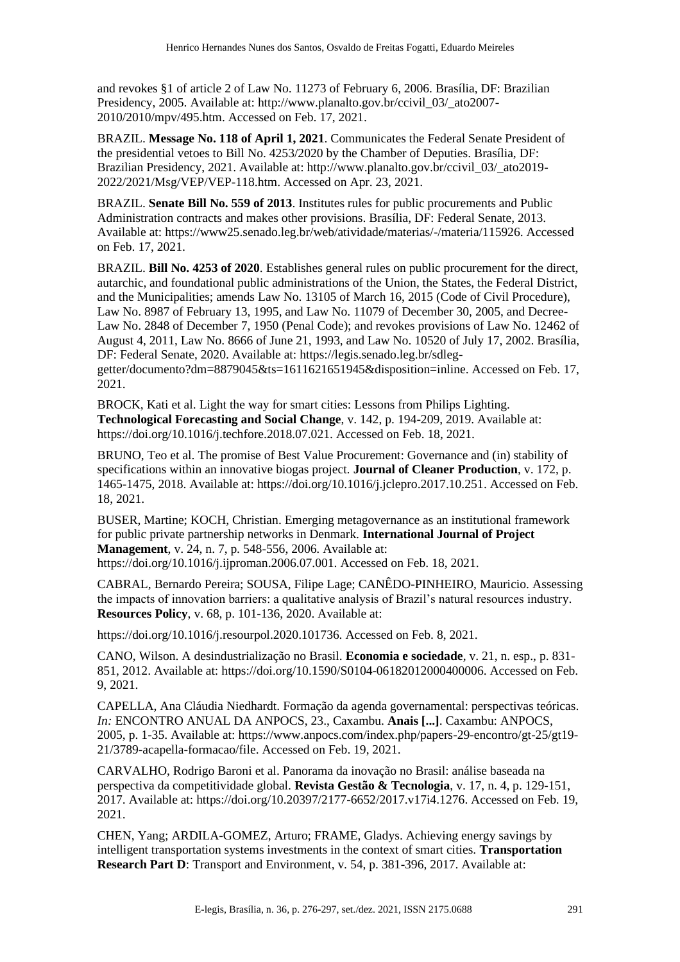and revokes §1 of article 2 of Law No. 11273 of February 6, 2006. Brasília, DF: Brazilian Presidency, 2005. Available at: http://www.planalto.gov.br/ccivil\_03/\_ato2007- 2010/2010/mpv/495.htm. Accessed on Feb. 17, 2021.

BRAZIL. **Message No. 118 of April 1, 2021**. Communicates the Federal Senate President of the presidential vetoes to Bill No. 4253/2020 by the Chamber of Deputies. Brasília, DF: Brazilian Presidency, 2021. Available at: http://www.planalto.gov.br/ccivil\_03/\_ato2019- 2022/2021/Msg/VEP/VEP-118.htm. Accessed on Apr. 23, 2021.

BRAZIL. **Senate Bill No. 559 of 2013**. Institutes rules for public procurements and Public Administration contracts and makes other provisions. Brasília, DF: Federal Senate, 2013. Available at: https://www25.senado.leg.br/web/atividade/materias/-/materia/115926. Accessed on Feb. 17, 2021.

BRAZIL. **Bill No. 4253 of 2020**. Establishes general rules on public procurement for the direct, autarchic, and foundational public administrations of the Union, the States, the Federal District, and the Municipalities; amends Law No. 13105 of March 16, 2015 (Code of Civil Procedure), Law No. 8987 of February 13, 1995, and Law No. 11079 of December 30, 2005, and Decree-Law No. 2848 of December 7, 1950 (Penal Code); and revokes provisions of Law No. 12462 of August 4, 2011, Law No. 8666 of June 21, 1993, and Law No. 10520 of July 17, 2002. Brasília, DF: Federal Senate, 2020. Available at: https://legis.senado.leg.br/sdleggetter/documento?dm=8879045&ts=1611621651945&disposition=inline. Accessed on Feb. 17,

2021.

BROCK, Kati et al. Light the way for smart cities: Lessons from Philips Lighting. **Technological Forecasting and Social Change**, v. 142, p. 194-209, 2019. Available at: https://doi.org/10.1016/j.techfore.2018.07.021. Accessed on Feb. 18, 2021.

BRUNO, Teo et al. The promise of Best Value Procurement: Governance and (in) stability of specifications within an innovative biogas project. **Journal of Cleaner Production**, v. 172, p. 1465-1475, 2018. Available at: https://doi.org/10.1016/j.jclepro.2017.10.251. Accessed on Feb. 18, 2021.

BUSER, Martine; KOCH, Christian. Emerging metagovernance as an institutional framework for public private partnership networks in Denmark. **International Journal of Project Management**, v. 24, n. 7, p. 548-556, 2006. Available at: https://doi.org/10.1016/j.ijproman.2006.07.001. Accessed on Feb. 18, 2021.

CABRAL, Bernardo Pereira; SOUSA, Filipe Lage; CANÊDO-PINHEIRO, Mauricio. Assessing the impacts of innovation barriers: a qualitative analysis of Brazil's natural resources industry. **Resources Policy**, v. 68, p. 101-136, 2020. Available at:

https://doi.org/10.1016/j.resourpol.2020.101736. Accessed on Feb. 8, 2021.

CANO, Wilson. A desindustrialização no Brasil. **Economia e sociedade**, v. 21, n. esp., p. 831- 851, 2012. Available at: https://doi.org/10.1590/S0104-06182012000400006. Accessed on Feb. 9, 2021.

CAPELLA, Ana Cláudia Niedhardt. Formação da agenda governamental: perspectivas teóricas. *In:* ENCONTRO ANUAL DA ANPOCS, 23., Caxambu. **Anais [...]**. Caxambu: ANPOCS, 2005, p. 1-35. Available at: https://www.anpocs.com/index.php/papers-29-encontro/gt-25/gt19- 21/3789-acapella-formacao/file. Accessed on Feb. 19, 2021.

CARVALHO, Rodrigo Baroni et al. Panorama da inovação no Brasil: análise baseada na perspectiva da competitividade global. **Revista Gestão & Tecnologia**, v. 17, n. 4, p. 129-151, 2017. Available at: https://doi.org/10.20397/2177-6652/2017.v17i4.1276. Accessed on Feb. 19, 2021.

CHEN, Yang; ARDILA-GOMEZ, Arturo; FRAME, Gladys. Achieving energy savings by intelligent transportation systems investments in the context of smart cities. **Transportation Research Part D**: Transport and Environment, v. 54, p. 381-396, 2017. Available at: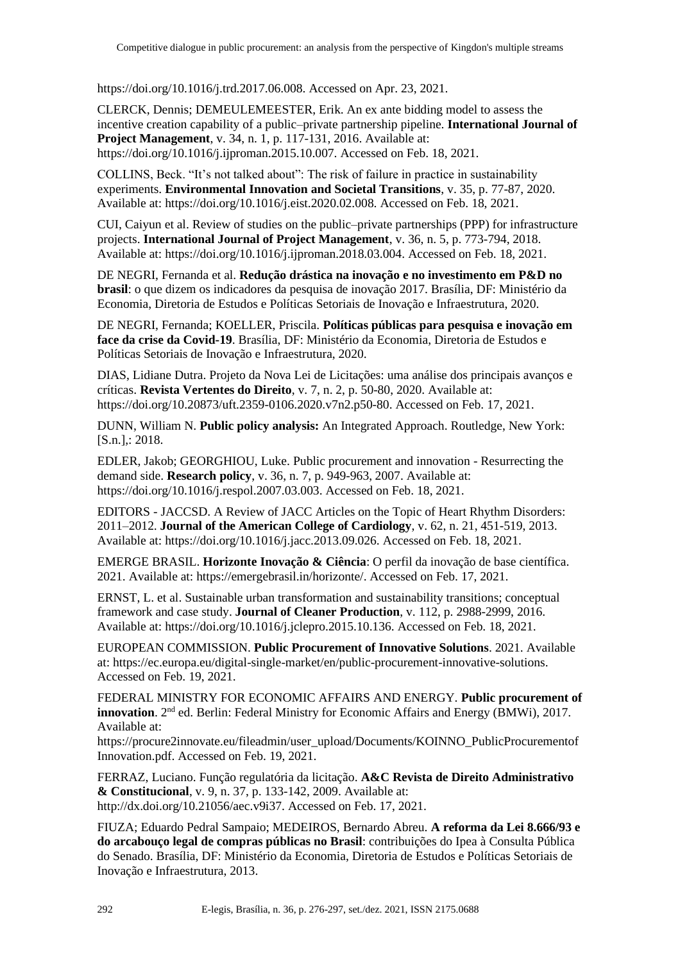https://doi.org/10.1016/j.trd.2017.06.008. Accessed on Apr. 23, 2021.

CLERCK, Dennis; DEMEULEMEESTER, Erik. An ex ante bidding model to assess the incentive creation capability of a public–private partnership pipeline. **International Journal of Project Management**, v. 34, n. 1, p. 117-131, 2016. Available at: https://doi.org/10.1016/j.ijproman.2015.10.007. Accessed on Feb. 18, 2021.

COLLINS, Beck. "It's not talked about": The risk of failure in practice in sustainability experiments. **Environmental Innovation and Societal Transitions**, v. 35, p. 77-87, 2020. Available at: https://doi.org/10.1016/j.eist.2020.02.008. Accessed on Feb. 18, 2021.

CUI, Caiyun et al. Review of studies on the public–private partnerships (PPP) for infrastructure projects. **International Journal of Project Management**, v. 36, n. 5, p. 773-794, 2018. Available at: https://doi.org/10.1016/j.ijproman.2018.03.004. Accessed on Feb. 18, 2021.

DE NEGRI, Fernanda et al. **Redução drástica na inovação e no investimento em P&D no brasil**: o que dizem os indicadores da pesquisa de inovação 2017. Brasília, DF: Ministério da Economia, Diretoria de Estudos e Políticas Setoriais de Inovação e Infraestrutura, 2020.

DE NEGRI, Fernanda; KOELLER, Priscila. **Políticas públicas para pesquisa e inovação em face da crise da Covid-19**. Brasília, DF: Ministério da Economia, Diretoria de Estudos e Políticas Setoriais de Inovação e Infraestrutura, 2020.

DIAS, Lidiane Dutra. Projeto da Nova Lei de Licitações: uma análise dos principais avanços e críticas. **Revista Vertentes do Direito**, v. 7, n. 2, p. 50-80, 2020. Available at: https://doi.org/10.20873/uft.2359-0106.2020.v7n2.p50-80. Accessed on Feb. 17, 2021.

DUNN, William N. **Public policy analysis:** An Integrated Approach. Routledge, New York: [S.n.],: 2018.

EDLER, Jakob; GEORGHIOU, Luke. Public procurement and innovation - Resurrecting the demand side. **Research policy**, v. 36, n. 7, p. 949-963, 2007. Available at: https://doi.org/10.1016/j.respol.2007.03.003. Accessed on Feb. 18, 2021.

EDITORS - JACCSD. A Review of JACC Articles on the Topic of Heart Rhythm Disorders: 2011–2012. **Journal of the American College of Cardiology**, v. 62, n. 21, 451-519, 2013. Available at: https://doi.org/10.1016/j.jacc.2013.09.026. Accessed on Feb. 18, 2021.

EMERGE BRASIL. **Horizonte Inovação & Ciência**: O perfil da inovação de base científica. 2021. Available at: https://emergebrasil.in/horizonte/. Accessed on Feb. 17, 2021.

ERNST, L. et al. Sustainable urban transformation and sustainability transitions; conceptual framework and case study. **Journal of Cleaner Production**, v. 112, p. 2988-2999, 2016. Available at: https://doi.org/10.1016/j.jclepro.2015.10.136. Accessed on Feb. 18, 2021.

EUROPEAN COMMISSION. **Public Procurement of Innovative Solutions**. 2021. Available at: https://ec.europa.eu/digital-single-market/en/public-procurement-innovative-solutions. Accessed on Feb. 19, 2021.

FEDERAL MINISTRY FOR ECONOMIC AFFAIRS AND ENERGY. **Public procurement of innovation**. 2nd ed. Berlin: Federal Ministry for Economic Affairs and Energy (BMWi), 2017. Available at:

https://procure2innovate.eu/fileadmin/user\_upload/Documents/KOINNO\_PublicProcurementof Innovation.pdf. Accessed on Feb. 19, 2021.

FERRAZ, Luciano. Função regulatória da licitação. **A&C Revista de Direito Administrativo & Constitucional**, v. 9, n. 37, p. 133-142, 2009. Available at: http://dx.doi.org/10.21056/aec.v9i37. Accessed on Feb. 17, 2021.

FIUZA; Eduardo Pedral Sampaio; MEDEIROS, Bernardo Abreu. **A reforma da Lei 8.666/93 e do arcabouço legal de compras públicas no Brasil**: contribuições do Ipea à Consulta Pública do Senado. Brasília, DF: Ministério da Economia, Diretoria de Estudos e Políticas Setoriais de Inovação e Infraestrutura, 2013.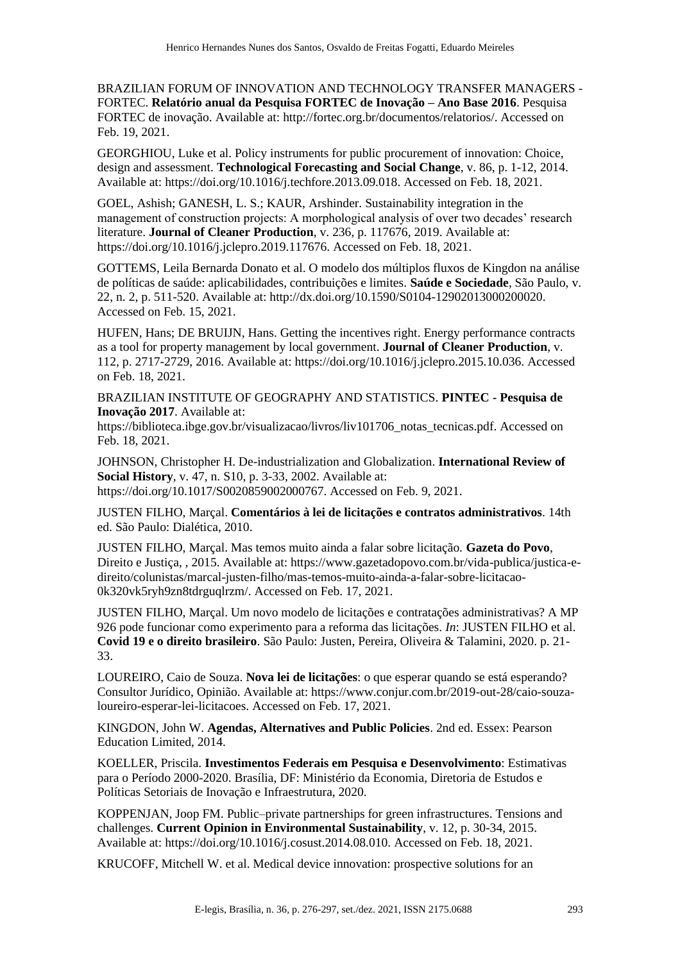BRAZILIAN FORUM OF INNOVATION AND TECHNOLOGY TRANSFER MANAGERS - FORTEC. **Relatório anual da Pesquisa FORTEC de Inovação – Ano Base 2016**. Pesquisa FORTEC de inovação. Available at: http://fortec.org.br/documentos/relatorios/. Accessed on Feb. 19, 2021.

GEORGHIOU, Luke et al. Policy instruments for public procurement of innovation: Choice, design and assessment. **Technological Forecasting and Social Change**, v. 86, p. 1-12, 2014. Available at: https://doi.org/10.1016/j.techfore.2013.09.018. Accessed on Feb. 18, 2021.

GOEL, Ashish; GANESH, L. S.; KAUR, Arshinder. Sustainability integration in the management of construction projects: A morphological analysis of over two decades' research literature. **Journal of Cleaner Production**, v. 236, p. 117676, 2019. Available at: https://doi.org/10.1016/j.jclepro.2019.117676. Accessed on Feb. 18, 2021.

GOTTEMS, Leila Bernarda Donato et al. O modelo dos múltiplos fluxos de Kingdon na análise de políticas de saúde: aplicabilidades, contribuições e limites. **Saúde e Sociedade**, São Paulo, v. 22, n. 2, p. 511-520. Available at: http://dx.doi.org/10.1590/S0104-12902013000200020. Accessed on Feb. 15, 2021.

HUFEN, Hans; DE BRUIJN, Hans. Getting the incentives right. Energy performance contracts as a tool for property management by local government. **Journal of Cleaner Production**, v. 112, p. 2717-2729, 2016. Available at: https://doi.org/10.1016/j.jclepro.2015.10.036. Accessed on Feb. 18, 2021.

BRAZILIAN INSTITUTE OF GEOGRAPHY AND STATISTICS. **PINTEC - Pesquisa de Inovação 2017**. Available at:

https://biblioteca.ibge.gov.br/visualizacao/livros/liv101706 notas tecnicas.pdf. Accessed on Feb. 18, 2021.

JOHNSON, Christopher H. De-industrialization and Globalization. **International Review of Social History**, v. 47, n. S10, p. 3-33, 2002. Available at: https://doi.org/10.1017/S0020859002000767. Accessed on Feb. 9, 2021.

JUSTEN FILHO, Marçal. **Comentários à lei de licitações e contratos administrativos**. 14th ed. São Paulo: Dialética, 2010.

JUSTEN FILHO, Marçal. Mas temos muito ainda a falar sobre licitação. **Gazeta do Povo**, Direito e Justiça, , 2015. Available at: https://www.gazetadopovo.com.br/vida-publica/justica-edireito/colunistas/marcal-justen-filho/mas-temos-muito-ainda-a-falar-sobre-licitacao-0k320vk5ryh9zn8tdrguqlrzm/. Accessed on Feb. 17, 2021.

JUSTEN FILHO, Marçal. Um novo modelo de licitações e contratações administrativas? A MP 926 pode funcionar como experimento para a reforma das licitações. *In*: JUSTEN FILHO et al. **Covid 19 e o direito brasileiro**. São Paulo: Justen, Pereira, Oliveira & Talamini, 2020. p. 21- 33.

LOUREIRO, Caio de Souza. **Nova lei de licitações**: o que esperar quando se está esperando? Consultor Jurídico, Opinião. Available at: https://www.conjur.com.br/2019-out-28/caio-souzaloureiro-esperar-lei-licitacoes. Accessed on Feb. 17, 2021.

KINGDON, John W. **Agendas, Alternatives and Public Policies**. 2nd ed. Essex: Pearson Education Limited, 2014.

KOELLER, Priscila. **Investimentos Federais em Pesquisa e Desenvolvimento**: Estimativas para o Período 2000-2020. Brasília, DF: Ministério da Economia, Diretoria de Estudos e Políticas Setoriais de Inovação e Infraestrutura, 2020.

KOPPENJAN, Joop FM. Public–private partnerships for green infrastructures. Tensions and challenges. **Current Opinion in Environmental Sustainability**, v. 12, p. 30-34, 2015. Available at: https://doi.org/10.1016/j.cosust.2014.08.010. Accessed on Feb. 18, 2021.

KRUCOFF, Mitchell W. et al. Medical device innovation: prospective solutions for an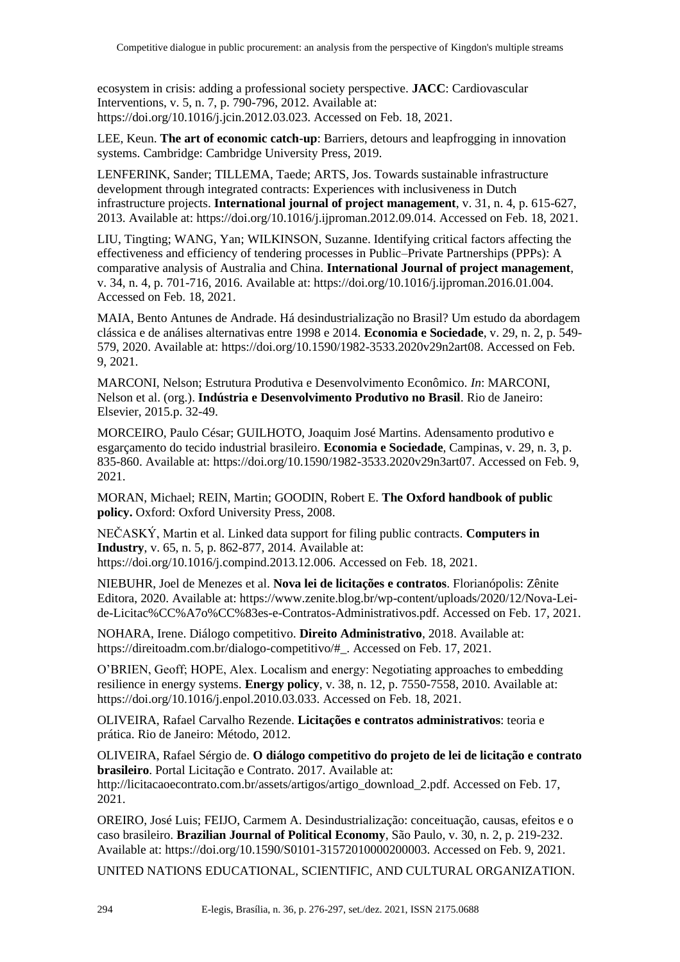ecosystem in crisis: adding a professional society perspective. **JACC**: Cardiovascular Interventions, v. 5, n. 7, p. 790-796, 2012. Available at: https://doi.org/10.1016/j.jcin.2012.03.023. Accessed on Feb. 18, 2021.

LEE, Keun. **The art of economic catch-up**: Barriers, detours and leapfrogging in innovation systems. Cambridge: Cambridge University Press, 2019.

LENFERINK, Sander; TILLEMA, Taede; ARTS, Jos. Towards sustainable infrastructure development through integrated contracts: Experiences with inclusiveness in Dutch infrastructure projects. **International journal of project management**, v. 31, n. 4, p. 615-627, 2013. Available at: https://doi.org/10.1016/j.ijproman.2012.09.014. Accessed on Feb. 18, 2021.

LIU, Tingting; WANG, Yan; WILKINSON, Suzanne. Identifying critical factors affecting the effectiveness and efficiency of tendering processes in Public–Private Partnerships (PPPs): A comparative analysis of Australia and China. **International Journal of project management**, v. 34, n. 4, p. 701-716, 2016. Available at: https://doi.org/10.1016/j.ijproman.2016.01.004. Accessed on Feb. 18, 2021.

MAIA, Bento Antunes de Andrade. Há desindustrialização no Brasil? Um estudo da abordagem clássica e de análises alternativas entre 1998 e 2014. **Economia e Sociedade**, v. 29, n. 2, p. 549- 579, 2020. Available at: https://doi.org/10.1590/1982-3533.2020v29n2art08. Accessed on Feb. 9, 2021.

MARCONI, Nelson; Estrutura Produtiva e Desenvolvimento Econômico. *In*: MARCONI, Nelson et al. (org.). **Indústria e Desenvolvimento Produtivo no Brasil**. Rio de Janeiro: Elsevier, 2015.p. 32-49.

MORCEIRO, Paulo César; GUILHOTO, Joaquim José Martins. Adensamento produtivo e esgarçamento do tecido industrial brasileiro. **Economia e Sociedade**, Campinas, v. 29, n. 3, p. 835-860. Available at: https://doi.org/10.1590/1982-3533.2020v29n3art07. Accessed on Feb. 9, 2021.

MORAN, Michael; REIN, Martin; GOODIN, Robert E. **The Oxford handbook of public policy.** Oxford: Oxford University Press, 2008.

NEČASKÝ, Martin et al. Linked data support for filing public contracts. **Computers in Industry**, v. 65, n. 5, p. 862-877, 2014. Available at: https://doi.org/10.1016/j.compind.2013.12.006. Accessed on Feb. 18, 2021.

NIEBUHR, Joel de Menezes et al. **Nova lei de licitações e contratos**. Florianópolis: Zênite Editora, 2020. Available at: https://www.zenite.blog.br/wp-content/uploads/2020/12/Nova-Leide-Licitac%CC%A7o%CC%83es-e-Contratos-Administrativos.pdf. Accessed on Feb. 17, 2021.

NOHARA, Irene. Diálogo competitivo. **Direito Administrativo**, 2018. Available at: https://direitoadm.com.br/dialogo-competitivo/#\_. Accessed on Feb. 17, 2021.

O'BRIEN, Geoff; HOPE, Alex. Localism and energy: Negotiating approaches to embedding resilience in energy systems. **Energy policy**, v. 38, n. 12, p. 7550-7558, 2010. Available at: https://doi.org/10.1016/j.enpol.2010.03.033. Accessed on Feb. 18, 2021.

OLIVEIRA, Rafael Carvalho Rezende. **Licitações e contratos administrativos**: teoria e prática. Rio de Janeiro: Método, 2012.

OLIVEIRA, Rafael Sérgio de. **O diálogo competitivo do projeto de lei de licitação e contrato brasileiro**. Portal Licitação e Contrato. 2017. Available at: http://licitacaoecontrato.com.br/assets/artigos/artigo\_download\_2.pdf. Accessed on Feb. 17, 2021.

OREIRO, José Luis; FEIJO, Carmem A. Desindustrialização: conceituação, causas, efeitos e o caso brasileiro. **Brazilian Journal of Political Economy**, São Paulo, v. 30, n. 2, p. 219-232. Available at: https://doi.org/10.1590/S0101-31572010000200003. Accessed on Feb. 9, 2021.

UNITED NATIONS EDUCATIONAL, SCIENTIFIC, AND CULTURAL ORGANIZATION.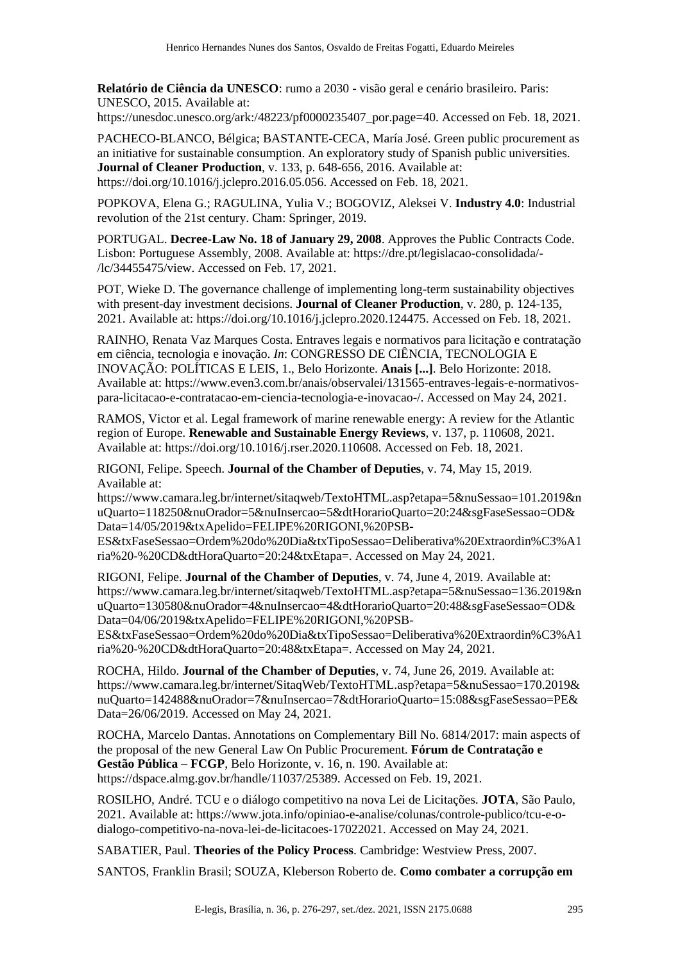**Relatório de Ciência da UNESCO**: rumo a 2030 - visão geral e cenário brasileiro. Paris: UNESCO, 2015. Available at:

https://unesdoc.unesco.org/ark:/48223/pf0000235407\_por.page=40. Accessed on Feb. 18, 2021.

PACHECO-BLANCO, Bélgica; BASTANTE-CECA, María José. Green public procurement as an initiative for sustainable consumption. An exploratory study of Spanish public universities. **Journal of Cleaner Production**, v. 133, p. 648-656, 2016. Available at: https://doi.org/10.1016/j.jclepro.2016.05.056. Accessed on Feb. 18, 2021.

POPKOVA, Elena G.; RAGULINA, Yulia V.; BOGOVIZ, Aleksei V. **Industry 4.0**: Industrial revolution of the 21st century. Cham: Springer, 2019.

PORTUGAL. **Decree-Law No. 18 of January 29, 2008**. Approves the Public Contracts Code. Lisbon: Portuguese Assembly, 2008. Available at: https://dre.pt/legislacao-consolidada/- /lc/34455475/view. Accessed on Feb. 17, 2021.

POT, Wieke D. The governance challenge of implementing long-term sustainability objectives with present-day investment decisions. **Journal of Cleaner Production**, v. 280, p. 124-135, 2021. Available at: https://doi.org/10.1016/j.jclepro.2020.124475. Accessed on Feb. 18, 2021.

RAINHO, Renata Vaz Marques Costa. Entraves legais e normativos para licitação e contratação em ciência, tecnologia e inovação. *In*: CONGRESSO DE CIÊNCIA, TECNOLOGIA E INOVAÇÃO: POLÍTICAS E LEIS, 1., Belo Horizonte. **Anais [...]**. Belo Horizonte: 2018. Available at: https://www.even3.com.br/anais/observalei/131565-entraves-legais-e-normativospara-licitacao-e-contratacao-em-ciencia-tecnologia-e-inovacao-/. Accessed on May 24, 2021.

RAMOS, Victor et al. Legal framework of marine renewable energy: A review for the Atlantic region of Europe. **Renewable and Sustainable Energy Reviews**, v. 137, p. 110608, 2021. Available at: https://doi.org/10.1016/j.rser.2020.110608. Accessed on Feb. 18, 2021.

RIGONI, Felipe. Speech. **Journal of the Chamber of Deputies**, v. 74, May 15, 2019. Available at:

https://www.camara.leg.br/internet/sitaqweb/TextoHTML.asp?etapa=5&nuSessao=101.2019&n uQuarto=118250&nuOrador=5&nuInsercao=5&dtHorarioQuarto=20:24&sgFaseSessao=OD& Data=14/05/2019&txApelido=FELIPE%20RIGONI,%20PSB-

ES&txFaseSessao=Ordem%20do%20Dia&txTipoSessao=Deliberativa%20Extraordin%C3%A1 ria%20-%20CD&dtHoraQuarto=20:24&txEtapa=. Accessed on May 24, 2021.

RIGONI, Felipe. **Journal of the Chamber of Deputies**, v. 74, June 4, 2019. Available at: https://www.camara.leg.br/internet/sitaqweb/TextoHTML.asp?etapa=5&nuSessao=136.2019&n uQuarto=130580&nuOrador=4&nuInsercao=4&dtHorarioQuarto=20:48&sgFaseSessao=OD& Data=04/06/2019&txApelido=FELIPE%20RIGONI,%20PSB-

ES&txFaseSessao=Ordem%20do%20Dia&txTipoSessao=Deliberativa%20Extraordin%C3%A1 ria%20-%20CD&dtHoraQuarto=20:48&txEtapa=. Accessed on May 24, 2021.

ROCHA, Hildo. **Journal of the Chamber of Deputies**, v. 74, June 26, 2019. Available at: https://www.camara.leg.br/internet/SitaqWeb/TextoHTML.asp?etapa=5&nuSessao=170.2019& nuQuarto=142488&nuOrador=7&nuInsercao=7&dtHorarioQuarto=15:08&sgFaseSessao=PE& Data=26/06/2019. Accessed on May 24, 2021.

ROCHA, Marcelo Dantas. Annotations on Complementary Bill No. 6814/2017: main aspects of the proposal of the new General Law On Public Procurement. **Fórum de Contratação e Gestão Pública – FCGP**, Belo Horizonte, v. 16, n. 190. Available at: https://dspace.almg.gov.br/handle/11037/25389. Accessed on Feb. 19, 2021.

ROSILHO, André. TCU e o diálogo competitivo na nova Lei de Licitações. **JOTA**, São Paulo, 2021. Available at: https://www.jota.info/opiniao-e-analise/colunas/controle-publico/tcu-e-odialogo-competitivo-na-nova-lei-de-licitacoes-17022021. Accessed on May 24, 2021.

SABATIER, Paul. **Theories of the Policy Process**. Cambridge: Westview Press, 2007.

SANTOS, Franklin Brasil; SOUZA, Kleberson Roberto de. **Como combater a corrupção em**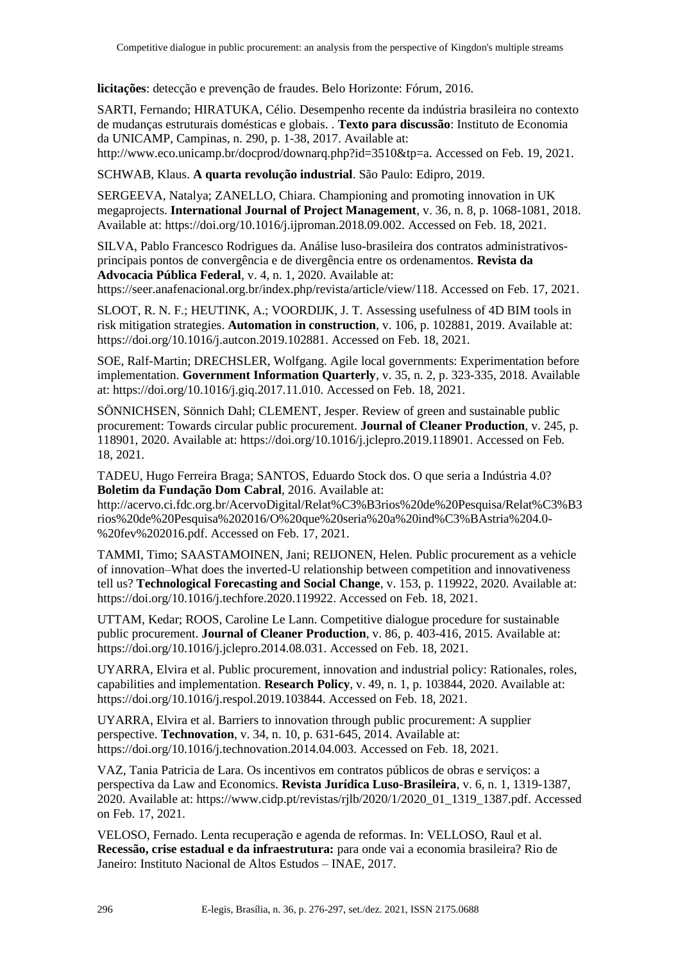**licitações**: detecção e prevenção de fraudes. Belo Horizonte: Fórum, 2016.

SARTI, Fernando; HIRATUKA, Célio. Desempenho recente da indústria brasileira no contexto de mudanças estruturais domésticas e globais. . **Texto para discussão**: Instituto de Economia da UNICAMP, Campinas, n. 290, p. 1-38, 2017. Available at:

http://www.eco.unicamp.br/docprod/downarq.php?id=3510&tp=a. Accessed on Feb. 19, 2021.

SCHWAB, Klaus. **A quarta revolução industrial**. São Paulo: Edipro, 2019.

SERGEEVA, Natalya; ZANELLO, Chiara. Championing and promoting innovation in UK megaprojects. **International Journal of Project Management**, v. 36, n. 8, p. 1068-1081, 2018. Available at: https://doi.org/10.1016/j.ijproman.2018.09.002. Accessed on Feb. 18, 2021.

SILVA, Pablo Francesco Rodrigues da. Análise luso-brasileira dos contratos administrativosprincipais pontos de convergência e de divergência entre os ordenamentos. **Revista da Advocacia Pública Federal**, v. 4, n. 1, 2020. Available at:

https://seer.anafenacional.org.br/index.php/revista/article/view/118. Accessed on Feb. 17, 2021.

SLOOT, R. N. F.; HEUTINK, A.; VOORDIJK, J. T. Assessing usefulness of 4D BIM tools in risk mitigation strategies. **Automation in construction**, v. 106, p. 102881, 2019. Available at: https://doi.org/10.1016/j.autcon.2019.102881. Accessed on Feb. 18, 2021.

SOE, Ralf-Martin; DRECHSLER, Wolfgang. Agile local governments: Experimentation before implementation. **Government Information Quarterly**, v. 35, n. 2, p. 323-335, 2018. Available at: https://doi.org/10.1016/j.giq.2017.11.010. Accessed on Feb. 18, 2021.

SÖNNICHSEN, Sönnich Dahl; CLEMENT, Jesper. Review of green and sustainable public procurement: Towards circular public procurement. **Journal of Cleaner Production**, v. 245, p. 118901, 2020. Available at: https://doi.org/10.1016/j.jclepro.2019.118901. Accessed on Feb. 18, 2021.

TADEU, Hugo Ferreira Braga; SANTOS, Eduardo Stock dos. O que seria a Indústria 4.0? **Boletim da Fundação Dom Cabral**, 2016. Available at:

http://acervo.ci.fdc.org.br/AcervoDigital/Relat%C3%B3rios%20de%20Pesquisa/Relat%C3%B3 rios%20de%20Pesquisa%202016/O%20que%20seria%20a%20ind%C3%BAstria%204.0- %20fev%202016.pdf. Accessed on Feb. 17, 2021.

TAMMI, Timo; SAASTAMOINEN, Jani; REIJONEN, Helen. Public procurement as a vehicle of innovation–What does the inverted-U relationship between competition and innovativeness tell us? **Technological Forecasting and Social Change**, v. 153, p. 119922, 2020. Available at: https://doi.org/10.1016/j.techfore.2020.119922. Accessed on Feb. 18, 2021.

UTTAM, Kedar; ROOS, Caroline Le Lann. Competitive dialogue procedure for sustainable public procurement. **Journal of Cleaner Production**, v. 86, p. 403-416, 2015. Available at: https://doi.org/10.1016/j.jclepro.2014.08.031. Accessed on Feb. 18, 2021.

UYARRA, Elvira et al. Public procurement, innovation and industrial policy: Rationales, roles, capabilities and implementation. **Research Policy**, v. 49, n. 1, p. 103844, 2020. Available at: https://doi.org/10.1016/j.respol.2019.103844. Accessed on Feb. 18, 2021.

UYARRA, Elvira et al. Barriers to innovation through public procurement: A supplier perspective. **Technovation**, v. 34, n. 10, p. 631-645, 2014. Available at: https://doi.org/10.1016/j.technovation.2014.04.003. Accessed on Feb. 18, 2021.

VAZ, Tania Patricia de Lara. Os incentivos em contratos públicos de obras e serviços: a perspectiva da Law and Economics*.* **Revista Jurídica Luso-Brasileira**, v. 6, n. 1, 1319-1387, 2020. Available at: https://www.cidp.pt/revistas/rjlb/2020/1/2020\_01\_1319\_1387.pdf. Accessed on Feb. 17, 2021.

VELOSO, Fernado. Lenta recuperação e agenda de reformas. In: VELLOSO, Raul et al. **Recessão, crise estadual e da infraestrutura:** para onde vai a economia brasileira? Rio de Janeiro: Instituto Nacional de Altos Estudos – INAE, 2017.